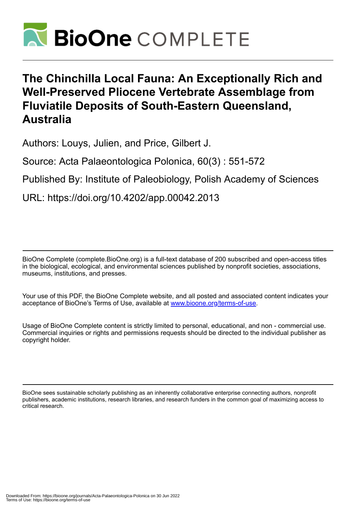

# **The Chinchilla Local Fauna: An Exceptionally Rich and Well-Preserved Pliocene Vertebrate Assemblage from Fluviatile Deposits of South-Eastern Queensland, Australia**

Authors: Louys, Julien, and Price, Gilbert J.

Source: Acta Palaeontologica Polonica, 60(3) : 551-572

Published By: Institute of Paleobiology, Polish Academy of Sciences

URL: https://doi.org/10.4202/app.00042.2013

BioOne Complete (complete.BioOne.org) is a full-text database of 200 subscribed and open-access titles in the biological, ecological, and environmental sciences published by nonprofit societies, associations, museums, institutions, and presses.

Your use of this PDF, the BioOne Complete website, and all posted and associated content indicates your acceptance of BioOne's Terms of Use, available at www.bioone.org/terms-of-use.

Usage of BioOne Complete content is strictly limited to personal, educational, and non - commercial use. Commercial inquiries or rights and permissions requests should be directed to the individual publisher as copyright holder.

BioOne sees sustainable scholarly publishing as an inherently collaborative enterprise connecting authors, nonprofit publishers, academic institutions, research libraries, and research funders in the common goal of maximizing access to critical research.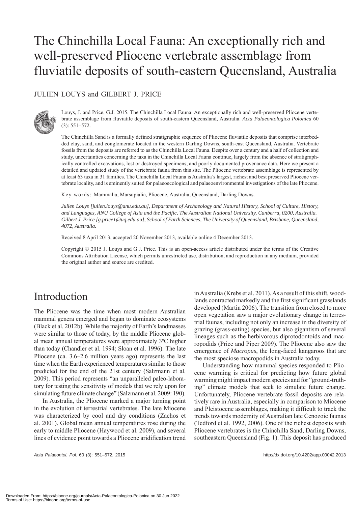# The Chinchilla Local Fauna: An exceptionally rich and well-preserved Pliocene vertebrate assemblage from fluviatile deposits of south-eastern Queensland, Australia

### JULIEN LOUYS and GILBERT J. PRICE



Louys, J. and Price, G.J. 2015. The Chinchilla Local Fauna: An exceptionally rich and well-preserved Pliocene vertebrate assemblage from fluviatile deposits of south-eastern Queensland, Australia. *Acta Palaeontologica Polonica* 60 (3): 551–572.

The Chinchilla Sand is a formally defined stratigraphic sequence of Pliocene fluviatile deposits that comprise interbedded clay, sand, and conglomerate located in the western Darling Downs, south-east Queensland, Australia. Vertebrate fossils from the deposits are referred to as the Chinchilla Local Fauna. Despite over a century and a half of collection and study, uncertainties concerning the taxa in the Chinchilla Local Fauna continue, largely from the absence of stratigraphically controlled excavations, lost or destroyed specimens, and poorly documented provenance data. Here we present a detailed and updated study of the vertebrate fauna from this site. The Pliocene vertebrate assemblage is represented by at least 63 taxa in 31 families. The Chinchilla Local Fauna is Australia's largest, richest and best preserved Pliocene vertebrate locality, and is eminently suited for palaeoecological and palaeoenvironmental investigations of the late Pliocene.

Key words: Mammalia, Marsupialia, Pliocene, Australia, Queensland, Darling Downs.

*Julien Louys [julien.louys@anu.edu.au], Department of Archaeology and Natural History, School of Culture, History, and Languages, ANU College of Asia and the Pacific, The Australian National University, Canberra, 0200, Australia. Gilbert J. Price [g.price1@uq.edu.au], School of Earth Sciences, The University of Queensland, Brisbane, Queensland, 4072, Australia.*

Received 8 April 2013, accepted 20 November 2013, available online 4 December 2013.

Copyright © 2015 J. Louys and G.J. Price. This is an open-access article distributed under the terms of the Creative Commons Attribution License, which permits unrestricted use, distribution, and reproduction in any medium, provided the original author and source are credited.

## Introduction

The Pliocene was the time when most modern Australian mammal genera emerged and began to dominate ecosystems (Black et al. 2012b). While the majority of Earth's landmasses were similar to those of today, by the middle Pliocene global mean annual temperatures were approximately 3ºC higher than today (Chandler et al. 1994; Sloan et al. 1996). The late Pliocene (ca. 3.6–2.6 million years ago) represents the last time when the Earth experienced temperatures similar to those predicted for the end of the 21st century (Salzmann et al. 2009). This period represents "an unparalleled paleo-laboratory for testing the sensitivity of models that we rely upon for simulating future climate change" (Salzmann et al. 2009: 190).

In Australia, the Pliocene marked a major turning point in the evolution of terrestrial vertebrates. The late Miocene was characterized by cool and dry conditions (Zachos et al. 2001). Global mean annual temperatures rose during the early to middle Pliocene (Haywood et al. 2009), and several lines of evidence point towards a Pliocene aridification trend in Australia (Krebs et al. 2011). As a result of this shift, woodlands contracted markedly and the first significant grasslands developed (Martin 2006). The transition from closed to more open vegetation saw a major evolutionary change in terrestrial faunas, including not only an increase in the diversity of grazing (grass-eating) species, but also gigantism of several lineages such as the herbivorous diprotodontoids and macropodids (Price and Piper 2009). The Pliocene also saw the emergence of *Macropus*, the long-faced kangaroos that are the most speciose macropodids in Australia today.

Understanding how mammal species responded to Pliocene warming is critical for predicting how future global warming might impact modern species and for "ground-truthing" climate models that seek to simulate future change. Unfortunately, Pliocene vertebrate fossil deposits are relatively rare in Australia, especially in comparison to Miocene and Pleistocene assemblages, making it difficult to track the trends towards modernity of Australian late Cenozoic faunas (Tedford et al. 1992, 2006). One of the richest deposits with Pliocene vertebrates is the Chinchilla Sand, Darling Downs, southeastern Queensland (Fig. 1). This deposit has produced

*Acta Palaeontol. Pol.* 60 (3): 551–572, 2015 http://dx.doi.org/10.4202/app.00042.2013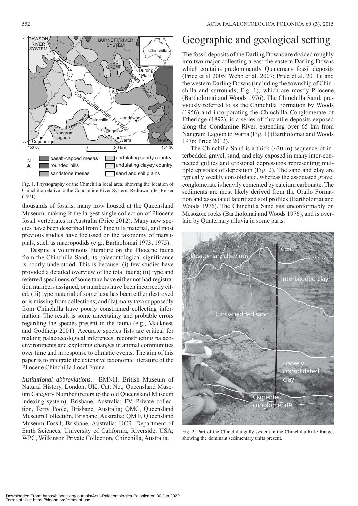552 ACTA PALAEONTOLOGICA POLONICA 60 (3), 2015



Fig. 1. Physiography of the Chinchilla local area, showing the location of Chinchilla relative to the Condamine River System. Redrawn after Reiser (1971).

thousands of fossils, many now housed at the Queensland Museum, making it the largest single collection of Pliocene fossil vertebrates in Australia (Price 2012). Many new species have been described from Chinchilla material, and most previous studies have focussed on the taxonomy of marsupials, such as macropodids (e.g., Bartholomai 1973, 1975).

Despite a voluminous literature on the Pliocene fauna from the Chinchilla Sand, its palaeontological significance is poorly understood. This is because: (i) few studies have provided a detailed overview of the total fauna; (ii) type and referred specimens of some taxa have either not had registration numbers assigned, or numbers have been incorrectly cited; (iii) type material of some taxa has been either destroyed or is missing from collections; and (iv) many taxa supposedly from Chinchilla have poorly constrained collecting information. The result is some uncertainty and probable errors regarding the species present in the fauna (e.g., Mackness and Godthelp 2001). Accurate species lists are critical for making palaeoecological inferences, reconstructing palaeoenvironments and exploring changes in animal communities over time and in response to climatic events. The aim of this paper is to integrate the extensive taxonomic literature of the Pliocene Chinchilla Local Fauna.

*Institutional abbreviations*.—BMNH, British Museum of Natural History, London, UK; Cat. No., Queensland Museum Category Number (refers to the old Queensland Museum indexing system), Brisbane, Australia; FV, Private collection, Terry Poole, Brisbane, Australia; QMC, Queensland Museum Collection, Brisbane, Australia; QM F, Queensland Museum Fossil, Brisbane, Australia; UCR, Department of Earth Sciences, University of California, Riverside, USA; WPC, Wilkinson Private Collection, Chinchilla, Australia.

## Geographic and geological setting

The fossil deposits of the Darling Downs are divided roughly into two major collecting areas: the eastern Darling Downs which contains predominantly Quaternary fossil deposits (Price et al 2005; Webb et al. 2007; Price et al. 2011); and the western Darling Downs (including the township of Chinchilla and surrounds; Fig. 1), which are mostly Pliocene (Bartholomai and Woods 1976). The Chinchilla Sand, previously referred to as the Chinchilla Formation by Woods (1956) and incorporating the Chinchilla Conglomerate of Etheridge (1892), is a series of fluviatile deposits exposed along the Condamine River, extending over 65 km from Nangram Lagoon to Warra (Fig. 1) (Bartholomai and Woods 1976; Price 2012).

The Chinchilla Sand is a thick  $(\sim 30 \text{ m})$  sequence of interbedded gravel, sand, and clay exposed in many inter-connected gullies and erosional depressions representing multiple episodes of deposition (Fig. 2). The sand and clay are typically weakly consolidated, whereas the associated gravel conglomerate is heavily cemented by calcium carbonate. The sediments are most likely derived from the Orallo Formation and associated lateritized soil profiles (Bartholomai and Woods 1976). The Chinchilla Sand sits unconformably on Mesozoic rocks (Bartholomai and Woods 1976), and is overlain by Quaternary alluvia in some parts.



Fig. 2. Part of the Chinchilla gully system in the Chinchilla Rifle Range, showing the dominant sedimentary units present.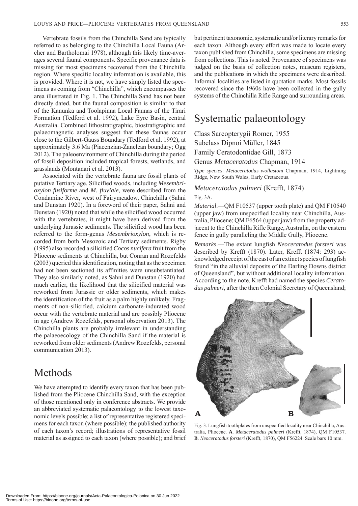Vertebrate fossils from the Chinchilla Sand are typically referred to as belonging to the Chinchilla Local Fauna (Archer and Bartholomai 1978), although this likely time-averages several faunal components. Specific provenance data is missing for most specimens recovered from the Chinchilla region. Where specific locality information is available, this is provided. Where it is not, we have simply listed the specimens as coming from "Chinchilla", which encompasses the area illustrated in Fig. 1. The Chinchilla Sand has not been directly dated, but the faunal composition is similar to that of the Kanunka and Toolapinna Local Faunas of the Tirari Formation (Tedford et al. 1992), Lake Eyre Basin, central Australia. Combined lithostratigraphic, biostratigraphic and palaeomagnetic analyses suggest that these faunas occur close to the Gilbert-Gauss Boundary (Tedford et al. 1992), at approximately 3.6 Ma (Piacenzian-Zanclean boundary; Ogg 2012). The paleoenvironment of Chinchilla during the period of fossil deposition included tropical forests, wetlands, and grasslands (Montanari et al. 2013).

Associated with the vertebrate fauna are fossil plants of putative Tertiary age. Silicified woods, including *Mesembrioxylon fusiforme* and *M. fluviale*, were described from the Condamine River, west of Fairymeadow, Chinchilla (Sahni and Dunstan 1920). In a foreword of their paper, Sahni and Dunstan (1920) noted that while the silicified wood occurred with the vertebrates, it might have been derived from the underlying Jurassic sediments. The silicified wood has been referred to the form-genus *Mesembrioxylon*, which is recorded from both Mesozoic and Tertiary sediments. Rigby (1995) also recorded a silicified *Cocos nucifera* fruit from the Pliocene sediments at Chinchilla, but Conran and Rozefelds (2003) queried this identification, noting that as the specimen had not been sectioned its affinities were unsubstantiated. They also similarly noted, as Sahni and Dunstan (1920) had much earlier, the likelihood that the silicified material was reworked from Jurassic or older sediments, which makes the identification of the fruit as a palm highly unlikely. Fragments of non-silicified, calcium carbonate-indurated wood occur with the vertebrate material and are possibly Pliocene in age (Andrew Rozefelds, personal observation 2013). The Chinchilla plants are probably irrelevant in understanding the palaeoecology of the Chinchilla Sand if the material is reworked from older sediments (Andrew Rozefelds, personal communication 2013).

## Methods

We have attempted to identify every taxon that has been published from the Pliocene Chinchilla Sand, with the exception of those mentioned only in conference abstracts. We provide an abbreviated systematic palaeontology to the lowest taxonomic levels possible; a list of representative registered specimens for each taxon (where possible); the published authority of each taxon's record; illustrations of representative fossil material as assigned to each taxon (where possible); and brief but pertinent taxonomic, systematic and/or literary remarks for each taxon. Although every effort was made to locate every taxon published from Chinchilla, some specimens are missing from collections. This is noted. Provenance of specimens was judged on the basis of collection notes, museum registers, and the publications in which the specimens were described. Informal localities are listed in quotation marks. Most fossils recovered since the 1960s have been collected in the gully systems of the Chinchilla Rifle Range and surrounding areas.

## Systematic palaeontology

Class Sarcopterygii Romer, 1955 Subclass Dipnoi Müller, 1845 Family Ceratodontidae Gill, 1873 Genus *Metaceratodus* Chapman, 1914 *Type species*: *Metaceratodus wollastoni* Chapman, 1914, Lightning Ridge, New South Wales, Early Cretaceous.

### *Metaceratodus palmeri* (Krefft, 1874)

### Fig. 3A.

*Material*.—QM F10537 (upper tooth plate) and QM F10540 (upper jaw) from unspecified locality near Chinchilla, Australia, Pliocene; QM F6564 (upper jaw) from the property adjacent to the Chinchilla Rifle Range, Australia, on the eastern fence in gully paralleling the Middle Gully, Pliocene.

*Remarks*.—The extant lungfish *Neoceratodus forsteri* was described by Krefft (1870). Later, Krefft (1874: 293) acknowledged receipt of the cast of an extinct species of lungfish found "in the alluvial deposits of the Darling Downs district of Queensland", but without additional locality information. According to the note, Krefft had named the species *Ceratodus palmeri*, after the then Colonial Secretary of Queensland;



Fig. 3. Lungfish toothplates from unspecified locality near Chinchilla, Australia, Pliocene. **A**. *Metaceratodus palmeri* (Krefft, 1874), QM F10537. **B**. *Neoceratodus forsteri* (Krefft, 1870), QM F56224. Scale bars 10 mm.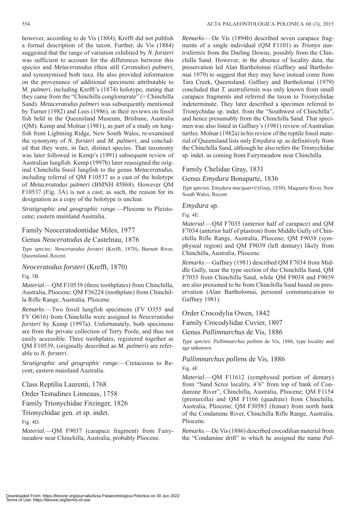however, according to de Vis (1884), Krefft did not publish a formal description of the taxon. Further, de Vis (1884) suggested that the range of variation exhibited by *N. forsteri*  was sufficient to account for the differences between this species and *Metaceratodus* (then still *Ceratodus*) *palmeri*, and synonymised both taxa. He also provided information on the provenance of additional specimens attributable to *M. palmeri*, including Krefft's (1874) holotype, stating that they came from the "Chinchilla conglomerate" (= Chinchilla Sand). *Metaceratodus palmeri* was subsequently mentioned by Turner (1982) and Lees (1986), in their reviews on fossil fish held in the Queensland Museum, Brisbane, Australia (QM). Kemp and Molnar (1981), as part of a study on lungfish from Lightning Ridge, New South Wales, re-examined the synonymy of *N. forsteri* and *M. palmeri*, and concluded that they were, in fact, distinct species. That taxonomy was later followed in Kemp's (1991) subsequent review of Australian lungfish. Kemp (1997b) later reassigned the original Chinchilla fossil lungfish to the genus *Metaceratodus*, including referral of QM F10537 as a cast of the holotype of *Metaceratodus palmeri* (BMNH 45868)*.* However QM F10537 (Fig. 3A) is not a cast; as such, the reason for its designation as a copy of the holotype is unclear.

*Stratigraphic and geographic range*.—Pliocene to Pleistocene; eastern mainland Australia.

### Family Neoceratodontidae Miles, 1977

Genus *Neoceratodus* de Castelnau, 1876

*Type species*: *Neoceratodus forsteri* (Krefft, 1870), Burnett River, Queensland, Recent.

*Neoceratodus forsteri* (Krefft, 1870)

Fig. 3B.

*Material*.—QM F10539 (three toothplates) from Chinchilla, Australia, Pliocene; QM F56224 (toothplate) from Chinchilla Rifle Range, Australia, Pliocene.

*Remarks*.—Two fossil lungfish specimens (FV O355 and FV O616) from Chinchilla were assigned to *Neoceratodus forsteri* by Kemp (1997a). Unfortunately, both specimens are from the private collection of Terry Poole, and thus not easily accessible. Three toothplates, registered together as QM F10539, (originally described as *M. palmeri*) are referable to *N. forsteri*.

*Stratigraphic and geographic range*.—Cretaceous to Recent; eastern mainland Australia.

### Class Reptilia Laurenti, 1768

Order Testudines Linneaus, 1758

Family Trionychidae Fitzinger, 1826

Trionychidae gen. et sp. indet.

### Fig. 4D.

*Material*.—QM F9037 (carapace fragment) from Fairymeadow near Chinchilla, Australia, probably Pliocene.

*Remarks*.—De Vis (1894b) described seven carapace fragments of a single individual (QM F1101) as *Trionyx australiensis* from the Darling Downs, possibly from the Chinchilla Sand. However, in the absence of locality data, the preservation led Alan Bartholomai (Gaffney and Bartholomai 1979) to suggest that they may have instead come from Tara Creek, Queensland. Gaffney and Bartholomai (1979) concluded that *T. australiensis* was only known from small carapace fragments and referred the taxon to Trionychidae indeterminate. They later described a specimen referred to Trionychidae sp. indet. from the "Southwest of Chinchilla", and hence presumably from the Chinchilla Sand. That specimen was also listed in Gaffney's (1981) review of Australian turtles. Molnar (1982a) in his review of the reptile fossil material of Queensland lists only *Emydura* sp. as definitively from the Chinchilla Sand, although he also refers the Trionychidae sp. indet. as coming from Fairymeadow near Chinchilla.

### Family Chelidae Gray, 1831

Genus *Emydura* Bonaparte, 1836

*Type species*: *Emydura macquarrii* (Gray, 1830), Maquarie River, New South Wales, Recent.

### *Emydura* sp.

Fig. 4E.

*Material*.—QM F7035 (anterior half of carapace) and QM F7034 (anterior half of plastron) from Middle Gully of Chinchilla Rifle Range, Australia, Pliocene; QM F9038 (symphyseal region) and QM F9039 (left dentary) likely from Chinchilla, Australia, Pliocene.

*Remarks*.—Gaffney (1981) described QM F7034 from Middle Gully, near the type section of the Chinchilla Sand, QM F7035 from Chinchilla Sand, while QM F9038 and F9039 are also presumed to be from Chinchilla Sand based on preservation (Alan Bartholomai, personal communication to Gaffney 1981).

### Order Crocodylia Owen, 1842

Family Crocodylidae Cuvier, 1807

Genus *Pallimnarchus* de Vis, 1886

*Type species*: *Pallimnarchus pollens* de Vis, 1886, type locality and age unknown.

### *Pallimnarchus pollens* de Vis, 1886

### Fig. 4F.

*Material*.—QM F11612 (symphyseal portion of dentary) from "Sand Scree locality, 4'6" from top of bank of Condamine River", Chinchilla, Australia, Pliocene; QM F1154 (premaxilla) and QM F1166 (quadrate) from Chinchilla, Australia, Pliocene; QM F30583 (femur) from north bank of the Condamine River, Chinchilla Rifle Range, Australia, Pliocene.

*Remarks*.—De Vis (1886) described crocodilian material from the "Condamine drift" to which he assigned the name *Pal-*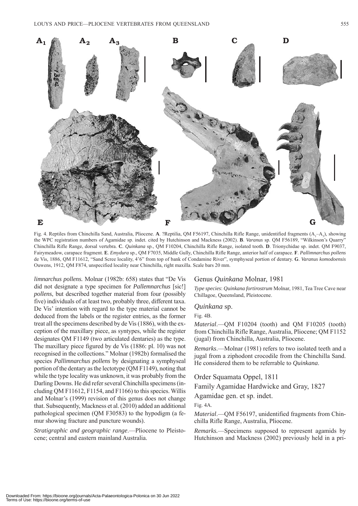

Fig. 4. Reptiles from Chinchilla Sand, Australia, Pliocene. A. ?Reptilia, QM F56197, Chinchilla Rifle Range, unidentified fragments (A<sub>1</sub>-A<sub>3</sub>), showing the WPC registration numbers of Agamidae sp. indet. cited by Hutchinson and Mackness (2002). **B**. *Varanus* sp. QM F56189, "Wilkinson's Quarry" Chinchilla Rifle Range, dorsal vertebra. **C**. *Quinkana* sp., QM F10204, Chinchilla Rifle Range, isolated tooth. **D**. Trionychidae sp. indet. QM F9037, Fairymeadow, carapace fragment. **E**. *Emydura* sp., QM F7035, Middle Gully, Chinchilla Rifle Range, anterior half of carapace. **F**. *Pallimnarchus pollens*  de Vis, 1886, QM F11612, "Sand Scree locality, 4'6" from top of bank of Condamine River", symphyseal portion of dentary. **G**. *Varanus komodoensis*  Ouwens, 1912, QM F874, unspecified locality near Chinchilla, right maxilla. Scale bars 20 mm.

*limnarchus pollens.* Molnar (1982b: 658) states that "De Vis did not designate a type specimen for *Pallemnarchus* [sic!] *pollens*, but described together material from four (possibly five) individuals of at least two, probably three, different taxa. De Vis' intention with regard to the type material cannot be deduced from the labels or the register entries, as the former treat all the specimens described by de Vis (1886), with the exception of the maxillary piece, as syntypes, while the register designates QM F1149 (two articulated dentaries) as the type. The maxillary piece figured by de Vis (1886: pl. 10) was not recognised in the collections." Molnar (1982b) formalised the species *Pallimnarchus pollens* by designating a symphyseal portion of the dentary as the lectotype (QM F1149), noting that while the type locality was unknown, it was probably from the Darling Downs. He did refer several Chinchilla specimens (including QM F11612, F1154, and F1166) to this species. Willis and Molnar's (1999) revision of this genus does not change that. Subsequently, Mackness et al. (2010) added an additional pathological specimen (QM F30583) to the hypodigm (a femur showing fracture and puncture wounds).

*Stratigraphic and geographic range*.—Pliocene to Pleistocene; central and eastern mainland Australia.

### Genus *Quinkana* Molnar, 1981

*Type species*: *Quinkana fortirostrum* Molnar, 1981, Tea Tree Cave near Chillagoe, Queensland, Pleistocene.

### *Quinkana* sp.

Fig. 4B.

*Material*.—QM F10204 (tooth) and QM F10205 (tooth) from Chinchilla Rifle Range, Australia, Pliocene; QM F1152 (jugal) from Chinchilla, Australia, Pliocene.

*Remarks*.—Molnar (1981) refers to two isolated teeth and a jugal from a ziphodont crocodile from the Chinchilla Sand. He considered them to be referrable to *Quinkana*.

Order Squamata Oppel, 1811

Family Agamidae Hardwicke and Gray, 1827

Agamidae gen. et sp. indet.

Fig. 4A.

*Material*.—QM F56197, unidentified fragments from Chinchilla Rifle Range, Australia, Pliocene.

*Remarks.*—Specimens supposed to represent agamids by Hutchinson and Mackness (2002) previously held in a pri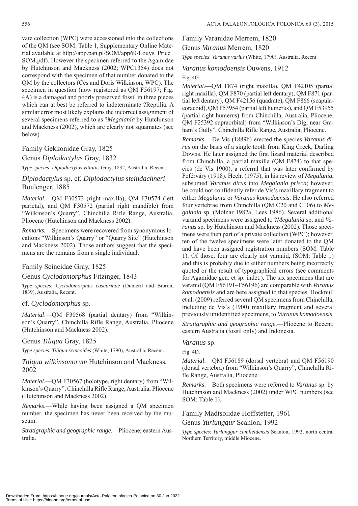vate collection (WPC) were accessioned into the collections of the QM (see SOM: Table 1, Supplementary Online Material available at http://app.pan.pl/SOM/app60-Louys\_Price\_ [SOM.pdf\). However the specimen referred to the Agamidae](http://app.pan.pl/SOM/app60-Louys_Price_SOM.pdf)  by Hutchinson and Mackness (2002; WPC1354) does not correspond with the specimen of that number donated to the QM by the collectors (Ces and Doris Wilkinson, WPC). The specimen in question (now registered as QM F56197; Fig. 4A) is a damaged and poorly preserved fossil in three pieces which can at best be referred to indeterminate ?Reptilia. A similar error most likely explains the incorrect assignment of several specimens referred to as ?*Megalania* by Hutchinson and Mackness (2002), which are clearly not squamates (see below).

### Family Gekkonidae Gray, 1825

### Genus *Diplodactylus* Gray, 1832

*Type species*: *Diplodactylus vittatus* Gray, 1832, Australia, Recent.

### *Diplodactylus* sp. cf. *Diplodactylus steindachneri*  Boulenger, 1885

*Material*.—QM F30573 (right maxilla), QM F30574 (left parietal), and QM F30572 (partial right mandible) from "Wilkinson's Quarry", Chinchilla Rifle Range, Australia, Pliocene (Hutchinson and Mackness 2002).

*Remarks.*—Specimens were recovered from synonymous locations "Wilkinson's Quarry" or "Quarry Site" (Hutchinson and Mackness 2002). Those authors suggest that the specimens are the remains from a single individual.

### Family Scincidae Gray, 1825

### Genus *Cyclodomorphus* Fitzinger, 1843

*Type species*: *Cyclodomorphus casuarinae* (Duméril and Bibron, 1839), Australia, Recent.

### cf. *Cyclodomorphus* sp.

*Material*.—QM F30568 (partial dentary) from "Wilkinson's Quarry", Chinchilla Rifle Range, Australia, Pliocene (Hutchinson and Mackness 2002).

### Genus *Tiliqua* Gray, 1825

*Type species*: *Tiliqua scincoides* (White, 1790), Australia, Recent.

*Tiliqua wilkinsonorum* Hutchinson and Mackness, 2002

*Material*.—QM F30567 (holotype, right dentary) from "Wilkinson's Quarry", Chinchilla Rifle Range, Australia, Pliocene (Hutchinson and Mackness 2002).

*Remarks*.—While having been assigned a QM specimen number, the specimen has never been received by the museum.

*Stratigraphic and geographic range*.—Pliocene; eastern Australia.

Family Varanidae Merrem, 1820 Genus *Varanus* Merrem, 1820

*Type species*: *Varanus varius* (White, 1790), Australia, Recent.

### *Varanus komodoensis* Ouwens, 1912

### Fig. 4G.

*Material*.—QM F874 (right maxilla), QM F42105 (partial right maxilla), QM F870 (partial left dentary), QM F871 (partial left dentary), QM F42156 (quadrate), QM F866 (scapulacoracoid), QM F53954 (partial left humerus), and QM F53955 (partial right humerus) from Chinchilla, Australia, Pliocene; QM F25392 supraorbital) from "Wilkinson's Dig, near Graham's Gully", Chinchilla Rifle Range, Australia, Pliocene.

*Remarks*.—De Vis (1889b) erected the species *Varanus dirus* on the basis of a single tooth from King Creek, Darling Downs. He later assigned the first lizard material described from Chinchilla, a partial maxilla (QM F874) to that species (de Vis 1900), a referral that was later confirmed by Feférváry (1918). Hecht (1975), in his review of *Megalania*, subsumed *Varanus dirus* into *Megalania prisca*; however, he could not confidently refer de Vis's maxillary fragment to either *Megalania* or *Varanus komodoensis*. He also referred four vertebrae from Chinchilla (QM C20 and C106) to *Megalania* sp. (Molnar 1982a; Lees 1986). Several additional varanid specimens were assigned to ?*Megalania* sp. and *Varanus* sp. by Hutchinson and Mackness (2002). Those specimens were then part of a private collection (WPC); however, ten of the twelve specimens were later donated to the QM [and have been assigned registration numbers \(SOM: Table](http://app.pan.pl/SOM/app60-Louys_Price_SOM.pdf) 1). Of those, four are clearly not varanid, (SOM: Table 1) and this is probably due to either numbers being incorrectly quoted or the result of typographical errors (see comments for Agamidae gen. et sp. indet.). The six specimens that are varanid (QM F56191–F56196) are comparable with *Varanus komodoensis* and are here assigned to that species. Hocknull et al. (2009) referred several QM specimens from Chinchilla, including de Vis's (1900) maxillary fragment and several previously unidentified specimens, to *Varanus komodoensis*.

*Stratigraphic and geographic range*.—Pliocene to Recent; eastern Australia (fossil only) and Indonesia.

### *Varanus* sp.

Fig. 4D.

*Material*.—QM F56189 (dorsal vertebra) and QM F56190 (dorsal vertebra) from "Wilkinson's Quarry", Chinchilla Rifle Range, Australia, Pliocene.

*Remarks*.—Both specimens were referred to *Varanus* sp. by Hutchinson and Mackness (2002) under WPC numbers (see [SOM: Table 1\).](http://app.pan.pl/SOM/app60-Louys_Price_SOM.pdf)

### Family Madtsoiidae Hoffstetter, 1961

Genus *Yurlunggur* Scanlon, 1992

*Type species*: *Yurlunggur camfieldensis* Scanlon, 1992, north central Northern Territory, middle Miocene.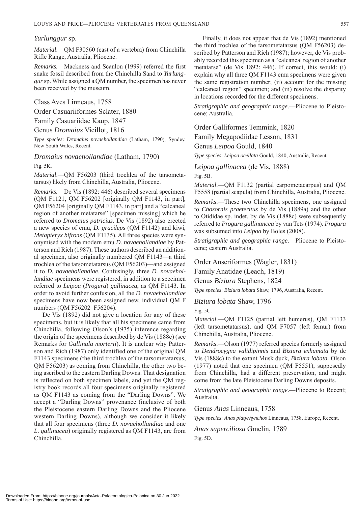### *Yurlunggur* sp.

*Material*.—QM F30560 (cast of a vertebra) from Chinchilla Rifle Range, Australia, Pliocene.

*Remarks.*—Mackness and Scanlon (1999) referred the first snake fossil described from the Chinchilla Sand to *Yurlunggur* sp. While assigned a QM number, the specimen has never been received by the museum.

Class Aves Linneaus, 1758 Order Casuariiformes Sclater, 1880 Family Casuariidae Kaup, 1847 Genus *Dromaius* Vieillot, 1816

*Type species*: *Dromaius novaehollandiae* (Latham, 1790), Syndey, New South Wales, Recent.

*Dromaius novaehollandiae* (Latham, 1790)

Fig. 5K.

*Material*.—QM F56203 (third trochlea of the tarsometatarsus) likely from Chinchilla, Australia, Pliocene.

*Remarks.*—De Vis (1892: 446) described several specimens (QM F1121, QM F56202 [originally QM F1143, in part], QM F56204 [originally QM F1143, in part] and a "calcaneal region of another metatarse" [specimen missing] which he referred to *Dromaius patricius.* De Vis (1892) also erected a new species of emu, *D. gracileps* (QM F1142) and kiwi, *Metapteryx bifrons* (QM F1135). All three species were synonymised with the modern emu *D. novaehollandiae* by Patterson and Rich (1987). These authors described an additional specimen, also originally numbered QM F1143—a third trochlea of the tarsometatarsus (QM F56203)—and assigned it to *D. novaehollandiae*. Confusingly, three *D. novaehollandiae* specimens were registered, in addition to a specimen referred to *Leipoa* (*Progura*) *gallinacea*, as QM F1143. In order to avoid further confusion, all the *D. novaehollandiae* specimens have now been assigned new, individual QM F numbers (QM F56202–F56204).

De Vis (1892) did not give a location for any of these specimens, but it is likely that all his specimens came from Chinchilla, following Olson's (1975) inference regarding the origin of the specimens described by de Vis (1888c) (see Remarks for *Gallinula morterii*). It is unclear why Patterson and Rich (1987) only identified one of the original QM F1143 specimens (the third trochlea of the tarsometatarsus, QM F56203) as coming from Chinchilla, the other two being ascribed to the eastern Darling Downs. That designation is reflected on both specimen labels, and yet the QM registry book records all four specimens originally registered as QM F1143 as coming from the "Darling Downs". We accept a "Darling Downs" provenance (inclusive of both the Pleistocene eastern Darling Downs and the Pliocene western Darling Downs), although we consider it likely that all four specimens (three *D. novaehollandiae* and one *L. gallinacea*) originally registered as QM F1143, are from Chinchilla.

Finally, it does not appear that de Vis (1892) mentioned the third trochlea of the tarsometatarsus (QM F56203) described by Patterson and Rich (1987); however, de Vis probably recorded this specimen as a "calcaneal region of another metatarse" (de Vis 1892: 446). If correct, this would: (i) explain why all three QM F1143 emu specimens were given the same registration number; (ii) account for the missing "calcaneal region" specimen; and (iii) resolve the disparity in locations recorded for the different specimens.

*Stratigraphic and geographic range*.—Pliocene to Pleistocene; Australia.

Order Galliformes Temmink, 1820

Family Megapodiidae Lesson, 1831

Genus *Leipoa* Gould, 1840

*Type species*: *Leipoa ocellata* Gould, 1840, Australia, Recent.

*Leipoa gallinacea* (de Vis, 1888)

Fig. 5B.

*Material*.—QM F1132 (partial carpometacarpus) and QM F5558 (partial scapula) from Chinchilla, Australia, Pliocene.

*Remarks*.—These two Chinchilla specimens, one assigned to *Chosornis praeteritus* by de Vis (1889a) and the other to Otididae sp. indet. by de Vis (1888c) were subsequently referred to *Progura gallinancea* by van Tets (1974). *Progura* was subsumed into *Leipoa* by Boles (2008).

*Stratigraphic and geographic range*.—Pliocene to Pleistocene; eastern Australia.

Order Anseriformes (Wagler, 1831)

Family Anatidae (Leach, 1819)

Genus *Biziura* Stephens, 1824

*Type species*: *Biziura lobata* Shaw, 1796, Australia, Recent.

*Biziura lobata* Shaw, 1796

Fig. 5C.

*Material*.—QM F1125 (partial left humerus), QM F1133 (left tarsometatarsus), and QM F7057 (left femur) from Chinchilla, Australia, Pliocene.

*Remarks*.—Olson (1977) referred species formerly assigned to *Dendrocygna validipinnis* and *Biziura exhumata* by de Vis (1888c) to the extant Musk duck, *Biziura lobata*. Olson (1977) noted that one specimen (QM F5551), supposedly from Chinchilla, had a different preservation, and might come from the late Pleistocene Darling Downs deposits.

*Stratigraphic and geographic range*.—Pliocene to Recent; Australia.

Genus *Anas* Linneaus, 1758

*Type species*: *Anas platyrhynchos* Linneaus, 1758, Europe, Recent.

*Anas superciliosa* Gmelin, 1789

Fig. 5D.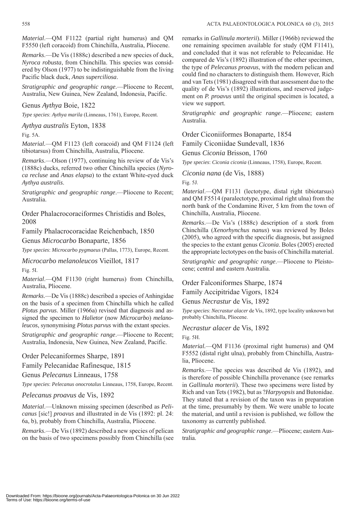*Material*.—QM F1122 (partial right humerus) and QM F5550 (left coracoid) from Chinchilla, Australia, Pliocene.

*Remarks*.—De Vis (1888c) described a new species of duck, *Nyroca robusta*, from Chinchilla. This species was considered by Olson (1977) to be indistinguishable from the living Pacific black duck, *Anas superciliosa*.

*Stratigraphic and geographic range*.—Pliocene to Recent, Australia, New Guinea, New Zealand, Indonesia, Pacific.

Genus *Aythya* Boie, 1822

*Type species*: *Aythya marila* (Linneaus, 1761), Europe, Recent.

*Aythya australis* Eyton, 1838

Fig. 5A.

*Material.*—QM F1123 (left coracoid) and QM F1124 (left tibiotarsus) from Chinchilla, Australia, Pliocene.

*Remarks*.—Olson (1977), continuing his review of de Vis's (1888c) ducks, referred two other Chinchilla species (*Nyroca recluse* and *Anas elapsa*) to the extant White-eyed duck *Aythya australis*.

*Stratigraphic and geographic range*.—Pliocene to Recent; Australia.

Order Phalacrocoraciformes Christidis and Boles, 2008

Family Phalacrocoracidae Reichenbach, 1850

Genus *Microcarbo* Bonaparte, 1856

*Type species*: *Microcarbo pygmaeus* (Pallas, 1773), Europe, Recent.

*Microcarbo melanoleucos* Vieillot, 1817

Fig. 5I.

*Material*.—QM F1130 (right humerus) from Chinchilla, Australia, Pliocene.

*Remarks*.—De Vis (1888c) described a species of Anhingidae on the basis of a specimen from Chinchilla which he called *Plotus parvus*. Miller (1966a) revised that diagnosis and assigned the specimen to *Halietor* (now *Microcarbo*) *melanoleucos*, synonymising *Plotus parvus* with the extant species.

*Stratigraphic and geographic range*.—Pliocene to Recent; Australia, Indonesia, New Guinea, New Zealand, Pacific.

Order Pelecaniformes Sharpe, 1891

Family Pelecanidae Rafinesque, 1815

Genus *Pelecanus* Linneaus, 1758

*Type species*: *Pelecanus onocrotalus* Linneaus, 1758, Europe, Recent.

### *Pelecanus proavus* de Vis, 1892

*Material*.—Unknown missing specimen (described as *Pelicanus* [sic!] *proavus* and illustrated in de Vis (1892: pl. 24: 6a, b), probably from Chinchilla, Australia, Pliocene.

*Remarks*.—De Vis (1892) described a new species of pelican on the basis of two specimens possibly from Chinchilla (see remarks in *Gallinula morterii*). Miller (1966b) reviewed the one remaining specimen available for study (QM F1141), and concluded that it was not referable to Pelecanidae. He compared de Vis's (1892) illustration of the other specimen, the type of *Pelecanus proavus*, with the modern pelican and could find no characters to distinguish them. However, Rich and van Tets (1981) disagreed with that assessment due to the quality of de Vis's (1892) illustrations, and reserved judgement on *P. proavus* until the original specimen is located, a view we support.

*Stratigraphic and geographic range*.—Pliocene; eastern Australia.

Order Ciconiiformes Bonaparte, 1854

Family Ciconiidae Sundevall, 1836

Genus *Ciconia* Brisson, 1760

*Type species*: *Ciconia ciconia* (Linneaus, 1758), Europe, Recent.

*Ciconia nana* (de Vis, 1888)

Fig. 5J.

*Material*.—QM F1131 (lectotype, distal right tibiotarsus) and QM F5514 (paralectotype, proximal right ulna) from the north bank of the Condamine River, 5 km from the town of Chinchilla, Australia, Pliocene.

*Remarks*.—De Vis's (1888c) description of a stork from Chinchilla (*Xenorhynchus nanus*) was reviewed by Boles (2005), who agreed with the specific diagnosis, but assigned the species to the extant genus *Ciconia*. Boles (2005) erected the appropriate lectotypes on the basis of Chinchilla material.

*Stratigraphic and geographic range*.—Pliocene to Pleistocene; central and eastern Australia.

Order Falconiformes Sharpe, 1874

Family Accipitridae Vigors, 1824

Genus *Necrastur* de Vis, 1892

*Type species*: *Necrastur alacer* de Vis, 1892, type locality unknown but probably Chinchilla, Pliocene.

*Necrastur alacer* de Vis, 1892

Fig. 5H.

*Material.*—QM F1136 (proximal right humerus) and QM F5552 (distal right ulna), probably from Chinchilla, Australia, Pliocene.

*Remarks*.—The species was described de Vis (1892), and is therefore of possible Chinchilla provenance (see remarks in *Gallinula morterii*). These two specimens were listed by Rich and van Tets (1982), but as ?*Harpyopsis* and Butonidae. They stated that a revision of the taxon was in preparation at the time, presumably by them. We were unable to locate the material, and until a revision is published, we follow the taxonomy as currently published.

*Stratigraphic and geographic range*.—Pliocene; eastern Australia.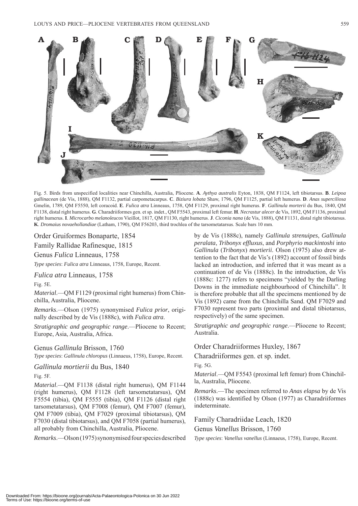

Fig. 5. Birds from unspecified localities near Chinchilla, Australia, Pliocene. **A**. *Aythya australis* Eyton, 1838, QM F1124, left tibiotarsus. **B**. *Leipoa gallinacean* (de Vis, 1888), QM F1132, partial carpometacarpus. **C**. *Biziura lobata* Shaw, 1796, QM F1125, partial left humerus. **D**. *Anas superciliosa* Gmelin, 1789, QM F5550, left coracoid. **E**. *Fulica atra* Linneaus, 1758, QM F1129, proximal right humerus. **F**. *Gallinula morterii* du Bus, 1840, QM F1138, distal right humerus. **G**. Charadriiformes gen. et sp. indet., QM F5543, proximal left femur. **H**. *Necrastur alecer* de Vis, 1892, QM F1136, proximal right humerus. **I**. *Microcarbo melanoleucos* Vieillot, 1817, QM F1130, right humerus. **J**. *Ciconia nana* (de Vis, 1888), QM F1131, distal right tibiotarsus. **K**. *Dromaius novaehollandiae* (Latham, 1790), QM F56203, third trochlea of the tarsometatarsus. Scale bars 10 mm.

### Order Gruiformes Bonaparte, 1854

Family Rallidae Rafinesque, 1815

Genus *Fulica* Linneaus, 1758

*Type species*: *Fulica atra* Linneaus, 1758, Europe, Recent.

*Fulica atra* Linneaus, 1758

Fig. 5E.

*Material*.—QM F1129 (proximal right humerus) from Chinchilla, Australia, Pliocene.

*Remarks*.—Olson (1975) synonymised *Fulica prior*, originally described by de Vis (1888c), with *Fulica atra*.

*Stratigraphic and geographic range*.—Pliocene to Recent; Europe, Asia, Australia, Africa.

### Genus *Gallinula* Brisson, 1760

*Type species*: *Gallinula chloropus* (Linnaeus, 1758), Europe, Recent.

### *Gallinula mortierii* du Bus, 1840

Fig. 5F.

*Material*.—QM F1138 (distal right humerus), QM F1144 (right humerus), QM F1128 (left tarsometatarsus), QM F5554 (tibia), QM F5555 (tibia), QM F1126 (distal right tarsometatarsus), QM F7008 (femur), QM F7007 (femur), QM F7009 (tibia), QM F7029 (proximal tibiotarsus), QM F7030 (distal tibiotarsus), and QM F7058 (partial humerus), all probably from Chinchilla, Australia, Pliocene.

*Remarks*.—Olson (1975) synonymised four species described

by de Vis (1888c), namely *Gallinula strenuipes*, *Gallinula peralata*, *Tribonyx effluxus*, and *Porphyrio mackintoshi* into *Gallinula* (*Tribonyx*) *mortierii*. Olson (1975) also drew attention to the fact that de Vis's (1892) account of fossil birds lacked an introduction, and inferred that it was meant as a continuation of de Vis (1888c). In the introduction, de Vis (1888c: 1277) refers to specimens "yielded by the Darling Downs in the immediate neighbourhood of Chinchilla". It is therefore probable that all the specimens mentioned by de Vis (1892) came from the Chinchilla Sand. QM F7029 and F7030 represent two parts (proximal and distal tibiotarsus, respectively) of the same specimen.

*Stratigraphic and geographic range*.—Pliocene to Recent; Australia.

### Order Charadriiformes Huxley, 1867

Charadriiformes gen. et sp. indet.

Fig. 5G.

*Material*.—QM F5543 (proximal left femur) from Chinchilla, Australia, Pliocene.

*Remarks*.—The specimen referred to *Anas elapsa* by de Vis (1888c) was identified by Olson (1977) as Charadriiformes indeterminate.

Family Charadriidae Leach, 1820 Genus *Vanellus* Brisson, 1760

*Type species*: *Vanellus vanellus* (Linnaeus, 1758), Europe, Recent.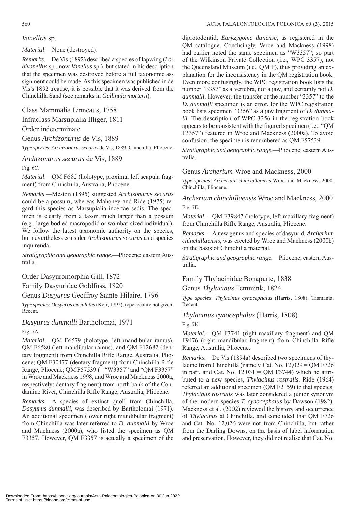### *Vanellus* sp.

*Material*.—None (destroyed).

*Remarks*.—De Vis (1892) described a species of lapwing (*Lobivanellus* sp., now *Vanellus* sp.), but stated in his description that the specimen was destroyed before a full taxonomic assignment could be made. As this specimen was published in de Vis's 1892 treatise, it is possible that it was derived from the Chinchilla Sand (see remarks in *Gallinula morterii*).

Class Mammalia Linneaus, 1758

Infraclass Marsupialia Illiger, 1811

### Order indeterminate

Genus *Archizonurus* de Vis, 1889

*Type species*: *Archizonurus securus* de Vis, 1889, Chinchilla, Pliocene.

*Archizonurus securus* de Vis, 1889

Fig. 6C.

*Material*.—QM F682 (holotype, proximal left scapula fragment) from Chinchilla, Australia, Pliocene.

*Remarks*.—Meston (1895) suggested *Archizonurus securus* could be a possum, whereas Mahoney and Ride (1975) regard this species as Marsupialia incertae sedis. The specimen is clearly from a taxon much larger than a possum (e.g., large-bodied macropodid or wombat-sized individual). We follow the latest taxonomic authority on the species, but nevertheless consider *Archizonurus securus* as a species inquirenda.

*Stratigraphic and geographic range*.—Pliocene; eastern Australia.

### Order Dasyuromorphia Gill, 1872

Family Dasyuridae Goldfuss, 1820

### Genus *Dasyurus* Geoffroy Sainte-Hilaire, 1796

*Type species*: *Dasyurus maculatus* (Kerr, 1792), type locality not given, Recent.

*Dasyurus dunmalli* Bartholomai, 1971

Fig. 7A.

*Material*.—QM F6579 (holotype, left mandibular ramus), QM F6580 (left mandibular ramus), and QM F12682 (dentary fragment) from Chinchilla Rifle Range, Australia, Pliocene; QM F30477 (dentary fragment) from Chinchilla Rifle Range, Pliocene; QM F57539 (= "W3357" and "QM F3357" in Wroe and Mackness 1998, and Wroe and Mackness 2000a, respectively; dentary fragment) from north bank of the Condamine River, Chinchilla Rifle Range, Australia, Pliocene.

*Remarks*.—A species of extinct quoll from Chinchilla, *Dasyurus dunmalli*, was described by Bartholomai (1971). An additional specimen (lower right mandibular fragment) from Chinchilla was later referred to *D. dunmalli* by Wroe and Mackness (2000a), who listed the specimen as QM F3357. However, QM F3357 is actually a specimen of the

diprotodontid, *Euryzygoma dunense*, as registered in the QM catalogue. Confusingly, Wroe and Mackness (1998) had earlier noted the same specimen as "W3357", so part of the Wilkinson Private Collection (i.e., WPC 3357), not the Queensland Museum (i.e., QM F), thus providing an explanation for the inconsistency in the QM registration book. Even more confusingly, the WPC registration book lists the number "3357" as a vertebra, not a jaw, and certainly not *D. dunmalli*. However, the transfer of the number "3357" to the *D. dunmalli* specimen is an error, for the WPC registration book lists specimen "3356" as a jaw fragment of *D. dunmalli*. The description of WPC 3356 in the registration book appears to be consistent with the figured specimen (i.e., "QM F3357") featured in Wroe and Mackness (2000a). To avoid confusion, the specimen is renumbered as QM F57539.

*Stratigraphic and geographic range*.—Pliocene; eastern Australia.

### Genus *Archerium* Wroe and Mackness, 2000

*Type species*: *Archerium chinchillaensis* Wroe and Mackness, 2000, Chinchilla, Pliocene.

*Archerium chinchillaensis* Wroe and Mackness, 2000 Fig. 7E.

*Material*.—QM F39847 (holotype, left maxillary fragment) from Chinchilla Rifle Range, Australia, Pliocene.

*Remarks*.—A new genus and species of dasyurid, *Archerium chinchillaensis*, was erected by Wroe and Mackness (2000b) on the basis of Chinchilla material.

*Stratigraphic and geographic range*.—Pliocene; eastern Australia.

### Family Thylacinidae Bonaparte, 1838

Genus *Thylacinus* Temmink, 1824

*Type species*: *Thylacinus cynocephalus* (Harris, 1808), Tasmania, Recent.

### *Thylacinus cynocephalus* (Harris, 1808)

Fig. 7K.

*Material*.—QM F3741 (right maxillary fragment) and QM F9476 (right mandibular fragment) from Chinchilla Rifle Range, Australia, Pliocene.

*Remarks*.—De Vis (1894a) described two specimens of thylacine from Chinchilla (namely Cat. No. 12,029 = QM F726 in part, and Cat. No.  $12,031 = OM F3744$ ) which he attributed to a new species, *Thylacinus rostralis*. Ride (1964) referred an additional specimen (QM F2159) to that species. *Thylacinus rostralis* was later considered a junior synonym of the modern species *T. cynocephalus* by Dawson (1982). Mackness et al. (2002) reviewed the history and occurrence of *Thylacinus* at Chinchilla, and concluded that QM F726 and Cat. No. 12,026 were not from Chinchilla, but rather from the Darling Downs, on the basis of label information and preservation. However, they did not realise that Cat. No.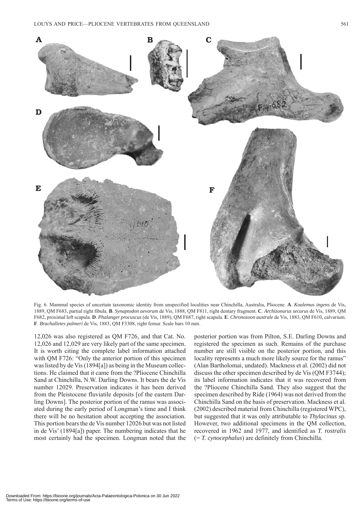

Fig. 6. Mammal species of uncertain taxonomic identity from unspecified localities near Chinchilla, Australia, Pliocene. **A**. *Koalemus ingens* de Vis, 1889, QM F683, partial right fibula. **B**. *Synaptodon aevorum* de Vis, 1888, QM F811, right dentary fragment. **C**. *Archizonurus securus* de Vis, 1889, QM F682, proximal left scapula. **D**. *Phalanger procuscus* (de Vis, 1889), QM F687, right scapula. **E**. *Chronozoon australe* de Vis, 1883, QM F610, calvarium. **F**. *Brachalletes palmeri* de Vis, 1883, QM F3308, right femur. Scale bars 10 mm.

12,026 was also registered as QM F726, and that Cat. No. 12,026 and 12,029 are very likely part of the same specimen. It is worth citing the complete label information attached with QM F726: "Only the anterior portion of this specimen was listed by de Vis (1894[a]) as being in the Museum collections. He claimed that it came from the ?Pliocene Chinchilla Sand at Chinchilla, N.W. Darling Downs. It bears the de Vis number 12029. Preservation indicates it has been derived from the Pleistocene fluviatile deposits [of the eastern Darling Downs]. The posterior portion of the ramus was associated during the early period of Longman's time and I think there will be no hesitation about accepting the association. This portion bears the de Vis number 12026 but was not listed in de Vis' (1894[a]) paper. The numbering indicates that he most certainly had the specimen. Longman noted that the posterior portion was from Pilton, S.E. Darling Downs and registered the specimen as such. Remains of the purchase number are still visible on the posterior portion, and this locality represents a much more likely source for the ramus" (Alan Bartholomai, undated). Mackness et al. (2002) did not discuss the other specimen described by de Vis (QM F3744); its label information indicates that it was recovered from the ?Pliocene Chinchilla Sand. They also suggest that the specimen described by Ride (1964) was not derived from the Chinchilla Sand on the basis of preservation. Mackness et al. (2002) described material from Chinchilla (registered WPC), but suggested that it was only attributable to *Thylacinus* sp. However, two additional specimens in the QM collection, recovered in 1962 and 1977, and identified as *T. rostralis*  (= *T. cynocephalus*) are definitely from Chinchilla.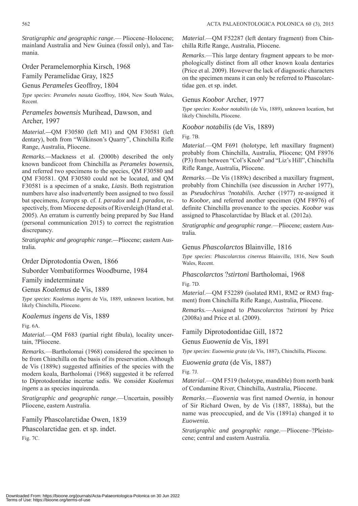*Stratigraphic and geographic range*.— Pliocene–Holocene; mainland Australia and New Guinea (fossil only), and Tasmania.

### Order Peramelemorphia Kirsch, 1968 Family Peramelidae Gray, 1825

Genus *Perameles* Geoffroy, 1804

*Type species*: *Perameles nasuta* Geoffroy, 1804, New South Wales, Recent.

### *Perameles bowensis* Murihead, Dawson, and Archer, 1997

*Material.—*QM F30580 (left M1) and QM F30581 (left dentary), both from "Wilkinson's Quarry", Chinchilla Rifle Range, Australia, Pliocene.

*Remarks.—*Mackness et al. (2000b) described the only known bandicoot from Chinchilla as *Perameles bowensis*, and referred two specimens to the species, QM F30580 and QM F30581. QM F30580 could not be located, and QM F30581 is a specimen of a snake, *Liasis*. Both registration numbers have also inadvertently been assigned to two fossil bat specimens, *Icarops* sp. cf. *I. paradox* and *I. paradox*, respectively, from Miocene deposits of Riversleigh (Hand et al. 2005). An erratum is currently being prepared by Sue Hand (personal communication 2015) to correct the registration discrepancy.

*Stratigraphic and geographic range.—*Pliocene; eastern Australia*.*

Order Diprotodontia Owen, 1866

Suborder Vombatiformes Woodburne, 1984

### Family indeterminate

Genus *Koalemus* de Vis, 1889

*Type species*: *Koalemus ingens* de Vis, 1889, unknown location, but likely Chinchilla, Pliocene.

*Koalemus ingens* de Vis, 1889

Fig. 6A.

*Material.*—QM F683 (partial right fibula), locality uncertain, ?Pliocene.

*Remarks.*—Bartholomai (1968) considered the specimen to be from Chinchilla on the basis of its preservation. Although de Vis (1889c) suggested affinities of the species with the modern koala, Bartholomai (1968) suggested it be referred to Diprotodontidae incertae sedis. We consider *Koalemus ingens* a as species inquirenda.

*Stratigraphic and geographic range*.—Uncertain, possibly Pliocene, eastern Australia.

Family Phascolarctidae Owen, 1839

Phascolarctidae gen. et sp. indet.

Fig. 7C.

*Material*.—QM F52287 (left dentary fragment) from Chinchilla Rifle Range, Australia, Pliocene.

*Remarks*.—This large dentary fragment appears to be morphologically distinct from all other known koala dentaries (Price et al. 2009). However the lack of diagnostic characters on the specimen means it can only be referred to Phascolarctidae gen. et sp. indet.

### Genus *Koobor* Archer, 1977

*Type species*: *Koobor notabilis* (de Vis, 1889), unknown location, but likely Chinchilla, Pliocene.

*Koobor notabilis* (de Vis, 1889)

### Fig. 7B.

*Material*.—QM F691 (holotype, left maxillary fragment) probably from Chinchilla, Australia, Pliocene; QM F8976 (P3) from between "Col's Knob" and "Liz's Hill", Chinchilla Rifle Range, Australia, Pliocene.

*Remarks*.—De Vis (1889c) described a maxillary fragment, probably from Chinchilla (see discussion in Archer 1977), as *Pseudochirus* ?*notabilis*. Archer (1977) re-assigned it to *Koobor*, and referred another specimen (QM F8976) of definite Chinchilla provenance to the species. *Koobor* was assigned to Phascolarctidae by Black et al. (2012a).

*Stratigraphic and geographic range*.—Pliocene; eastern Australia.

### Genus *Phascolarctos* Blainville, 1816

*Type species*: *Phascolarctos cinereus* Blainville, 1816, New South Wales, Recent.

*Phascolarctos* ?*stirtoni* Bartholomai, 1968

Fig. 7D.

*Material*.—QM F52289 (isolated RM1, RM2 or RM3 fragment) from Chinchilla Rifle Range, Australia, Pliocene.

*Remarks.*—Assigned to *Phascolarctos* ?*stirtoni* by Price (2008a) and Price et al. (2009).

Family Diprotodontidae Gill, 1872

Genus *Euowenia* de Vis, 1891

*Type species*: *Euowenia grata* (de Vis, 1887), Chinchilla, Pliocene.

*Euowenia grata* (de Vis, 1887)

Fig. 7J.

*Material*.—QM F519 (holotype, mandible) from north bank of Condamine River, Chinchilla, Australia, Pliocene.

*Remarks*.—*Euowenia* was first named *Owenia*, in honour of Sir Richard Owen, by de Vis (1887, 1888a), but the name was preoccupied, and de Vis (1891a) changed it to *Euowenia.*

*Stratigraphic and geographic range*.—Pliocene–?Pleistocene; central and eastern Australia.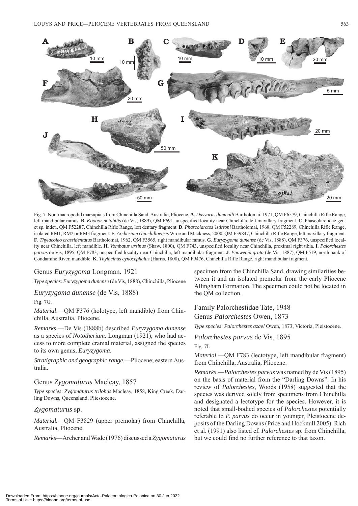

Fig. 7. Non-macropodid marsupials from Chinchilla Sand, Australia, Pliocene. **A**. *Dasyurus dunmalli* Bartholomai, 1971, QM F6579, Chinchilla Rifle Range, left mandibular ramus. **B**. *Koobor notabilis* (de Vis, 1889), QM F691, unspecified locality near Chinchilla, left maxillary fragment. **C**. Phascolarctidae gen. et sp. indet., QM F52287, Chinchilla Rifle Range, left dentary fragment. **D**. *Phascolarctos* ?*stirtoni* Bartholomai, 1968, QM F52289, Chinchilla Rifle Range, isolated RM1, RM2 or RM3 fragment. **E**. *Archerium chinchillaensis* Wroe and Mackness, 2000, QM F39847, Chinchilla Rifle Range, left maxillary fragment. **F**. *Thylacoleo crassidentatus* Bartholomai, 1962, QM F3565, right mandibular ramus. **G**. *Euryzygoma dunense* (de Vis, 1888), QM F376, unspecified locality near Chinchilla, left mandible. **H**. *Vombatus ursinus* (Shaw, 1800), QM F743, unspecified locality near Chinchilla, proximal right tibia. **I**. *Palorchestes parvus* de Vis, 1895, QM F783, unspecified locality near Chinchilla, left mandibular fragment. **J**. *Euowenia grata* (de Vis, 1887), QM F519, north bank of Condamine River, mandible. **K**. *Thylacinus cynocephalus* (Harris, 1808), QM F9476, Chinchilla Rifle Range, right mandibular fragment.

### Genus *Euryzygoma* Longman, 1921

*Type species*: *Euryzygoma dunense* (de Vis, 1888), Chinchilla, Pliocene

*Euryzygoma dunense* (de Vis, 1888)

Fig. 7G.

*Material*.—QM F376 (holotype, left mandible) from Chinchilla, Australia, Pliocene.

*Remarks*.—De Vis (1888b) described *Euryzygoma dunense*  as a species of *Nototherium*. Longman (1921), who had access to more complete cranial material, assigned the species to its own genus, *Euryzygoma*.

*Stratigraphic and geographic range*.—Pliocene; eastern Australia.

### Genus *Zygomaturus* Macleay, 1857

*Type species*: *Zygomaturus trilobus* Macleay, 1858, King Creek, Darling Downs, Queensland, Pliestocene.

### *Zygomaturus* sp.

*Material.*—QM F3829 (upper premolar) from Chinchilla, Australia, Pliocene.

*Remarks*—Archer and Wade (1976) discussed a *Zygomaturus* 

specimen from the Chinchilla Sand, drawing similarities between it and an isolated premolar from the early Pliocene Allingham Formation. The specimen could not be located in the QM collection.

### Family Palorchestidae Tate, 1948 Genus *Palorchestes* Owen, 1873

*Type species*: *Palorchestes azael* Owen, 1873, Victoria, Pleistocene.

### *Palorchestes parvus* de Vis, 1895

Fig. 7I.

*Material*.—QM F783 (lectotype, left mandibular fragment) from Chinchilla, Australia, Pliocene.

*Remarks*.—*Palorchestes parvus* was named by de Vis (1895) on the basis of material from the "Darling Downs". In his review of *Palorchestes*, Woods (1958) suggested that the species was derived solely from specimens from Chinchilla and designated a lectotype for the species. However, it is noted that small-bodied species of *Palorchestes* potentially referable to *P. parvus* do occur in younger, Pleistocene deposits of the Darling Downs (Price and Hocknull 2005). Rich et al. (1991) also listed cf*. Palorchestes* sp. from Chinchilla, but we could find no further reference to that taxon.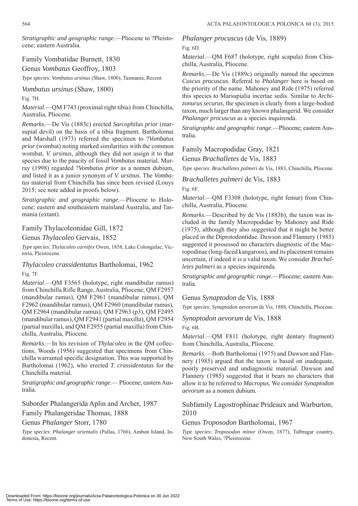*Stratigraphic and geographic range*.—Pliocene to ?Pleistocene; eastern Australia.

Family Vombatidae Burnett, 1830 Genus *Vombatus* Geoffroy, 1803

*Type species*: *Vombatus ursinus* (Shaw, 1800), Tasmania, Recent.

*Vombatus ursinus* (Shaw, 1800)

Fig. 7H.

*Material*.—QM F743 (proximal right tibia) from Chinchilla, Australia, Pliocene.

*Remarks*.—De Vis (1883c) erected *Sarcophilus prior* (marsupial devil) on the basis of a tibia fragment*.* Bartholomai and Marshall (1973) referred the specimen to ?*Vombatus prior* (wombat) noting marked similarities with the common wombat, *V. ursinus*, although they did not assign it to that species due to the paucity of fossil *Vombatus* material. Murray (1998) regarded ?*Vombatus prior* as a nomen dubium, and listed it as a junior synonym of *V. ursinus*. The *Vombatus* material from Chinchilla has since been revised (Louys 2015; see note added in proofs below).

*Stratigraphic and geographic range*.—Pliocene to Holocene; eastern and southeastern mainland Australia, and Tasmania (extant).

### Family Thylacoleonidae Gill, 1872

Genus *Thylacoleo* Gervais, 1852

*Type species*: *Thylacoleo carnifex* Owen, 1858, Lake Colongulac, Victoria, Pleistocene.

*Thylacoleo crassidentatus* Bartholomai, 1962 Fig. 7F.

*Material*.—QM F3565 (holotype, right mandibular ramus) from Chinchilla Rifle Range, Australia, Pliocene; QM F2957 (mandibular ramus), QM F2961 (mandibular ramus), QM F2962 (mandibular ramus), QM F2960 (mandibular ramus), QM F2964 (mandibular ramus), QM F2963 (p3), QM F2495 (mandibular ramus), QM F2941 (partial maxilla), QM F2954 (partial maxilla), and QM F2955 (partial maxilla) from Chinchilla, Australia, Pliocene.

*Remarks*.—In his revision of *Thylacoleo* in the QM collections, Woods (1956) suggested that specimens from Chinchilla warranted specific designation. This was supported by Bartholomai (1962), who erected *T. crassidentatus* for the Chinchilla material.

*Stratigraphic and geographic range*.— Pliocene; eastern Australia.

Suborder Phalangerida Aplin and Archer, 1987

Family Phalangeridae Thomas, 1888

Genus *Phalanger* Storr, 1780

*Type species*: *Phalanger orientalis* (Pallas, 1766), Ambon Island, Indonesia, Recent.

*Phalanger procuscus* (de Vis, 1889)

Fig. 6D.

*Material*.—QM F687 (holotype, right scapula) from Chinchilla, Australia, Pliocene.

*Remarks*.—De Vis (1889c) originally named the specimen *Cuscus procuscus.* Referral to *Phalanger* here is based on the priority of the name. Mahoney and Ride (1975) referred this species to Marsupialia incertae sedis. Similar to *Archizonurus securus*, the specimen is clearly from a large-bodied taxon, much larger than any known phalangerid. We consider *Phalanger procuscus* as a species inquirenda.

*Stratigraphic and geographic range*.—Pliocene; eastern Australia.

Family Macropodidae Gray, 1821

Genus *Brachalletes* de Vis, 1883

*Type species*: *Brachalletes palmeri* de Vis, 1883, Chinchilla, Pliocene.

*Brachalletes palmeri* de Vis, 1883 Fig. 6F.

*Material*.—QM F3308 (holotype, right femur) from Chinchilla, Australia, Pliocene.

*Remarks.*—Described by de Vis (1883b), the taxon was included in the family Macropodidae by Mahoney and Ride (1975), although they also suggested that it might be better placed in the Diprotodontidae. Dawson and Flannery (1985) suggested it possessed no characters diagnostic of the Macropodinae (long-faced kangaroos), and its placement remains uncertain, if indeed it is a valid taxon. We consider *Brachalletes palmeri* as a species inquirenda*.*

*Stratigraphic and geographic range*.—Pliocene; eastern Australia.

Genus *Synaptodon* de Vis, 1888

*Type species*: *Synaptodon aevorum* de Vis, 1888, Chinchilla, Pliocene.

*Synaptodon aevorum* de Vis, 1888 Fig. 6B.

*Material*.—QM F811 (holotype, right dentary fragment) from Chinchilla, Australia, Pliocene.

*Remarks*.—Both Bartholomai (1975) and Dawson and Flannery (1985) argued that the taxon is based on inadequate, poorly preserved and undiagnostic material. Dawson and Flannery (1985) suggested that it bears no characters that allow it to be referred to *Macropus.* We consider *Synaptodon aevorum* as a nomen dubium*.*

Subfamily Lagostrophinae Prideaux and Warburton, 2010

### Genus *Troposodon* Bartholomai, 1967

*Type species*: *Troposodon minor* (Owen, 1877), Talbragar country, New South Wales, ?Pleistocene.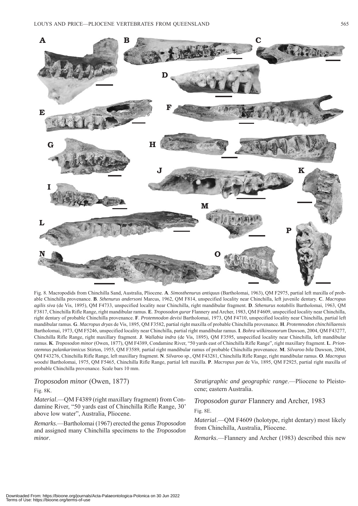

Fig. 8. Macropodids from Chinchilla Sand, Australia, Pliocene. **A**. *Simosthenurus antiquus* (Bartholomai, 1963), QM F2975, partial left maxilla of probable Chinchilla provenance. **B**. *Sthenurus andersoni* Marcus, 1962, QM F814, unspecified locality near Chinchilla, left juvenile dentary. **C**. *Macropus agilis siva* (de Vis, 1895), QM F4733, unspecified locality near Chinchilla, right mandibular fragment. **D**. *Sthenurus notabilis* Bartholomai, 1963, QM F3817, Chinchilla Rifle Range, right mandibular ramus. **E**. *Troposodon gurar* Flannery and Archer, 1983, QM F4609, unspecified locality near Chinchilla, right dentary of probable Chinchilla provenance. **F**. *Protemnodon devisi* Bartholomai, 1973, QM F4710, unspecified locality near Chinchilla, partial left mandibular ramus. **G**. *Macropus dryas* de Vis, 1895, QM F3582, partial right maxilla of probable Chinchilla provenance. **H**. *Protemnodon chinchillaensis* Bartholomai, 1973, QM F5246, unspecified locality near Chinchilla, partial right mandibular ramus. **I**. *Bohra wilkinsonorum* Dawson, 2004, QM F43277, Chinchilla Rifle Range, right maxillary fragment. **J**. *Wallabia indra* (de Vis, 1895), QM F3595, unspecified locality near Chinchilla, left mandibular ramus. **K**. *Troposodon minor* (Owen, 1877), QM F4389, Condamine River, "50 yards east of Chinchilla Rifle Range", right maxillary fragment. **L**. *Prionotemnus palankarinnicus* Stirton, 1955, QM F3589, partial right mandibular ramus of probable Chinchilla provenance. **M**. *Silvaroo bila* Dawson, 2004, QM F43276, Chinchilla Rifle Range, left maxillary fragment. **N**. *Silvaroo* sp., QM F43281, Chinchilla Rifle Range, right mandibular ramus. **O**. *Macropus woodsi* Bartholomai, 1975, QM F5465, Chinchilla Rifle Range, partial left maxilla. **P**. *Macropus pan* de Vis, 1895, QM F2925, partial right maxilla of probable Chinchilla provenance. Scale bars 10 mm.

*Troposodon minor* (Owen, 1877)

### Fig. 8K.

*Material*.—QM F4389 (right maxillary fragment) from Condamine River, "50 yards east of Chinchilla Rifle Range, 30' above low water", Australia, Pliocene.

*Remarks*.—Bartholomai (1967) erected the genus *Troposodon* and assigned many Chinchilla specimens to the *Troposodon minor*.

*Stratigraphic and geographic range*.—Pliocene to Pleistocene; eastern Australia.

*Troposodon gurar* Flannery and Archer, 1983

Fig. 8E.

*Material*.—QM F4609 (holotype, right dentary) most likely from Chinchilla, Australia, Pliocene.

*Remarks*.—Flannery and Archer (1983) described this new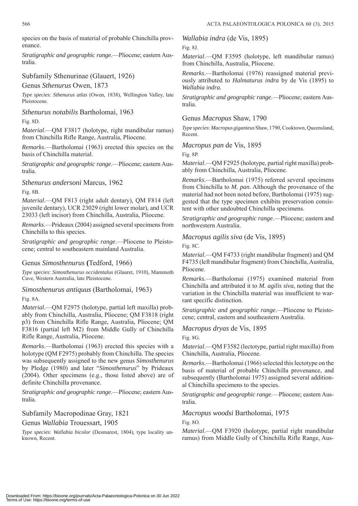species on the basis of material of probable Chinchilla provenance.

*Stratigraphic and geographic range*.—Pliocene; eastern Australia.

### Subfamily Sthenurinae (Glauert, 1926)

Genus *Sthenurus* Owen, 1873

*Type species*: *Sthenurus atlas* (Owen, 1838), Wellington Valley, late Pleistocene.

### *Sthenurus notabilis* Bartholomai, 1963

Fig. 8D.

*Material*.—QM F3817 (holotype, right mandibular ramus) from Chinchilla Rifle Range, Australia, Pliocene.

*Remarks*.—Bartholomai (1963) erected this species on the basis of Chinchilla material.

*Stratigraphic and geographic range*.—Pliocene; eastern Australia.

*Sthenurus andersoni* Marcus, 1962

Fig. 8B.

*Material*.—QM F813 (right adult dentary), QM F814 (left juvenile dentary), UCR 23029 (right lower molar), and UCR 23033 (left incisor) from Chinchilla, Australia, Pliocene.

*Remarks*.—Prideaux (2004) assigned several specimens from Chinchilla to this species.

*Stratigraphic and geographic range*.—Pliocene to Pleistocene; central to southeastern mainland Australia.

### Genus *Simosthenurus* **(**Tedford, 1966)

*Type species*: *Simosthenurus occidentalus* (Glauret, 1910), Mammoth Cave, Western Australia, late Pleistocene.

### *Simosthenurus antiquus* (Bartholomai, 1963)

Fig. 8A.

*Material*.—QM F2975 (holotype, partial left maxilla) probably from Chinchilla, Australia, Pliocene; QM F3818 (right p3) from Chinchilla Rifle Range, Australia, Pliocene; QM F3816 (partial left M2) from Middle Gully of Chinchilla Rifle Range, Australia, Pliocene.

*Remarks*.—Bartholomai (1963) erected this species with a holotype (QM F2975) probably from Chinchilla. The species was subsequently assigned to the new genus *Simosthenurus* by Pledge (1980) and later "*Simosthenurus*" by Prideaux (2004). Other specimens (e.g., those listed above) are of definite Chinchilla provenance.

*Stratigraphic and geographic range*.—Pliocene; eastern Australia.

Subfamily Macropodinae Gray, 1821 Genus *Wallabia* Trouessart, 1905

*Type species*: *Wallabia bicolor* (Desmarest, 1804), type locality unknown, Recent.

*Wallabia indra* (de Vis, 1895)

Fig. 8J.

*Material*.—QM F3595 (holotype, left mandibular ramus) from Chinchilla, Australia, Pliocene.

*Remarks*.—Bartholomai (1976) reassigned material previously attributed to *Halmaturus indra* by de Vis (1895) to *Wallabia indra*.

*Stratigraphic and geographic range*.—Pliocene; eastern Australia.

### Genus *Macropus* Shaw, 1790

*Type species*: *Macropus giganteus* Shaw, 1790, Cooktown, Queensland, Recent.

*Macropus pan* de Vis, 1895

Fig. 8P.

*Material*.—QM F2925 (holotype, partial right maxilla) probably from Chinchilla, Australia, Pliocene.

*Remarks*.—Bartholomai (1975) referred several specimens from Chinchilla to *M. pan*. Although the provenance of the material had not been noted before, Bartholomai (1975) suggested that the type specimen exhibits preservation consistent with other undoubted Chinchilla specimens.

*Stratigraphic and geographic range*.—Pliocene; eastern and northwestern Australia.

*Macropus agilis siva* (de Vis, 1895)

Fig. 8C.

*Material*.—QM F4733 (right mandibular fragment) and QM F4735 (left mandibular fragment) from Chinchilla, Australia, Pliocene.

*Remarks.*—Bartholomai (1975) examined material from Chinchilla and attributed it to *M. agilis siva*, noting that the variation in the Chinchilla material was insufficient to warrant specific distinction.

*Stratigraphic and geographic range*.—Pliocene to Pleistocene; central, eastern and southeastern Australia.

*Macropus dryas* de Vis, 1895

Fig. 8G.

*Material*.—QM F3582 (lectotype, partial right maxilla) from Chinchilla, Australia, Pliocene.

*Remarks*.—Bartholomai (1966) selected this lectotype on the basis of material of probable Chinchilla provenance, and subsequently (Bartholomai 1975) assigned several additional Chinchilla specimens to the species.

*Stratigraphic and geographic range*.—Pliocene; eastern Australia.

*Macropus woodsi* Bartholomai, 1975

Fig. 8O.

*Material*.—QM F3920 (holotype, partial right mandibular ramus) from Middle Gully of Chinchilla Rifle Range, Aus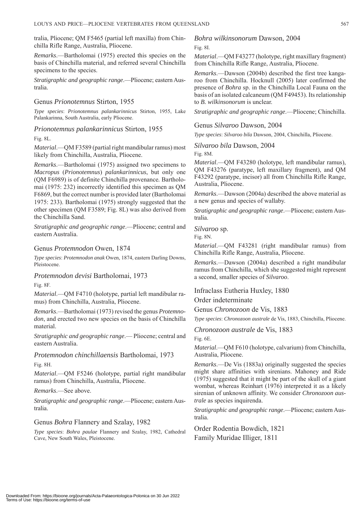tralia, Pliocene; QM F5465 (partial left maxilla) from Chinchilla Rifle Range, Australia, Pliocene.

*Remarks*.—Bartholomai (1975) erected this species on the basis of Chinchilla material, and referred several Chinchilla specimens to the species.

*Stratigraphic and geographic range*.—Pliocene; eastern Australia.

### Genus *Prionotemnus* Stirton, 1955

*Type species*: *Prionotemnus palankarinnicus* Stirton, 1955, Lake Palankarinna, South Australia, early Pliocene.

*Prionotemnus palankarinnicus* Stirton, 1955 Fig. 8L.

*Material*.—QM F3589 (partial right mandibular ramus) most likely from Chinchilla, Australia, Pliocene.

*Remarks*.—Bartholomai (1975) assigned two specimens to *Macropus* (*Prionotemnus*) *palankarinnicus*, but only one (QM F6989) is of definite Chinchilla provenance*.* Bartholomai (1975: 232) incorrectly identified this specimen as QM F6869, but the correct number is provided later (Bartholomai 1975: 233). Bartholomai (1975) strongly suggested that the other specimen (QM F3589; Fig. 8L) was also derived from the Chinchilla Sand.

*Stratigraphic and geographic range*.—Pliocene; central and eastern Australia.

### Genus *Protemnodon* Owen, 1874

*Type species*: *Protemnodon anak* Owen, 1874, eastern Darling Downs, Pleistocene.

### *Protemnodon devisi* Bartholomai, 1973

Fig. 8F.

*Material*.—QM F4710 (holotype, partial left mandibular ramus) from Chinchilla, Australia, Pliocene.

*Remarks*.—Bartholomai (1973) revised the genus *Protemnodon*, and erected two new species on the basis of Chinchilla material.

*Stratigraphic and geographic range*.— Pliocene; central and eastern Australia.

*Protemnodon chinchillaensis* Bartholomai, 1973 Fig. 8H.

*Material*.—QM F5246 (holotype, partial right mandibular ramus) from Chinchilla, Australia, Pliocene.

*Remarks*.—See above.

*Stratigraphic and geographic range*.—Pliocene; eastern Australia.

### Genus *Bohra* Flannery and Szalay, 1982

*Type species*: *Bohra paulae* Flannery and Szalay, 1982, Cathedral Cave, New South Wales, Pleistocene.

*Bohra wilkinsonorum* Dawson, 2004

```
Fig. 8I.
```
*Material*.—QM F43277 (holotype, right maxillary fragment) from Chinchilla Rifle Range, Australia, Pliocene.

*Remarks*.—Dawson (2004b) described the first tree kangaroo from Chinchilla. Hocknull (2005) later confirmed the presence of *Bohra* sp. in the Chinchilla Local Fauna on the basis of an isolated calcaneum (QM F49453). Its relationship to *B. wilkinsonorum* is unclear.

*Stratigraphic and geographic range*.—Pliocene; Chinchilla.

Genus *Silvaroo* Dawson, 2004

*Type species*: *Silvaroo bila* Dawson, 2004, Chinchilla, Pliocene.

*Silvaroo bila* Dawson, 2004

Fig. 8M.

*Material*.—QM F43280 (holotype, left mandibular ramus), QM F43276 (paratype, left maxillary fragment), and QM F43292 (paratype, incisor) all from Chinchilla Rifle Range, Australia, Pliocene.

*Remarks*.—Dawson (2004a) described the above material as a new genus and species of wallaby.

*Stratigraphic and geographic range*.—Pliocene; eastern Australia.

*Silvaroo* sp.

Fig. 8N.

*Material*.—QM F43281 (right mandibular ramus) from Chinchilla Rifle Range, Australia, Pliocene.

*Remarks*.—Dawson (2004a) described a right mandibular ramus from Chinchilla, which she suggested might represent a second, smaller species of *Silvaroo*.

Infraclass Eutheria Huxley, 1880 Order indeterminate

Genus *Chronozoon* de Vis, 1883

*Type species*: *Chronozoon australe* de Vis, 1883, Chinchilla, Pliocene.

*Chronozoon australe* de Vis, 1883

Fig. 6E.

*Material*.—QM F610 (holotype, calvarium) from Chinchilla, Australia, Pliocene.

*Remarks*.—De Vis (1883a) originally suggested the species might share affinities with sirenians. Mahoney and Ride (1975) suggested that it might be part of the skull of a giant wombat, whereas Reinhart (1976) interpreted it as a likely sirenian of unknown affinity. We consider *Chronozoon australe* as species inquirenda.

*Stratigraphic and geographic range*.—Pliocene; eastern Australia.

Order Rodentia Bowdich, 1821 Family Muridae Illiger, 1811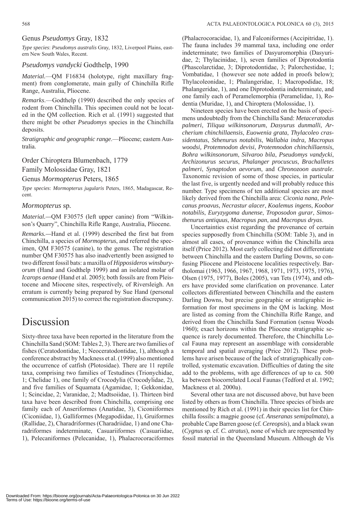### Genus *Pseudomys* Gray, 1832

*Type species*: *Pseudomys australis* Gray, 1832, Liverpool Plains, eastern New South Wales, Recent.

### *Pseudomys vandycki* Godthelp, 1990

*Material.*—QM F16834 (holotype, right maxillary fragment) from conglomerate, main gully of Chinchilla Rifle Range, Australia, Pliocene.

*Remarks*.—Godthelp (1990) described the only species of rodent from Chinchilla. This specimen could not be located in the QM collection. Rich et al. (1991) suggested that there might be other *Pseudomys* species in the Chinchilla deposits.

*Stratigraphic and geographic range*.—Pliocene; eastern Australia.

Order Chiroptera Blumenbach, 1779

Family Molossidae Gray, 1821

Genus *Mormopterus* Peters, 1865

*Type species*: *Mormopterus jugularis* Peters, 1865, Madagascar, Recent.

### *Mormopterus* sp*.*

*Material.—*QM F30575 (left upper canine) from "Wilkinson's Quarry", Chinchilla Rifle Range, Australia, Pliocene*.*

*Remarks.—*Hand et al. (1999) described the first bat from Chinchilla, a species of *Mormopterus*, and referred the specimen, QM F30575 (canine), to the genus. The registration number QM F30575 has also inadvertently been assigned to two different fossil bats: a maxilla of *Hipposideros winsburyorum* (Hand and Godthelp 1999) and an isolated molar of *Icarops aenae* (Hand et al. 2005); both fossils are from Pleistocene and Miocene sites, respectively, of Riversleigh. An erratum is currently being prepared by Sue Hand (personal communication 2015) to correct the registration discrepancy*.*

## Discussion

Sixty-three taxa have been reported in the literature from the Chinchilla Sand [\(SOM: Tables 2, 3\).](http://app.pan.pl/SOM/app60-Louys_Price_SOM.pdf) There are two families of fishes (Ceratodontidae, 1; Neoceratodontidae, 1), although a conference abstract by Mackness et al. (1999) also mentioned the occurrence of catfish (Plotosidae). There are 11 reptile taxa, comprising two families of Testudines (Trionychidae, 1; Chelidae 1), one family of Crocodylia (Crocodylidae, 2), and five families of Squamata (Agamidae, 1; Gekkonidae, 1; Scincidae, 2; Varanidae, 2; Madtsoiidae, 1). Thirteen bird taxa have been described from Chinchilla, comprising one family each of Anseriformes (Anatidae, 3), Ciconiiformes (Ciconiidae, 1), Galliformes (Megapodiidae, 1), Gruiformes (Rallidae, 2), Charadriformes (Charadriidae, 1) and one Charadriformes indeterminate, Casuariiformes (Casuariidae, 1), Pelecaniformes (Pelecanidae, 1), Phalacrocoraciformes

(Phalacrocoracidae, 1), and Falconiformes (Accipitridae, 1). The fauna includes 39 mammal taxa, including one order indeterminate; two families of Dasyuromorphia (Dasyuridae, 2; Thylacinidae, 1), seven families of Diprotodontia (Phascolarctidae, 3; Diprotodontidae, 3; Palorchestidae, 1; Vombatidae, 1 (however see note added in proofs below); Thylacoleonidae, 1; Phalangeridae, 1; Macropodidae, 18; Phalangeridae, 1), and one Diprotodontia indeterminate, and one family each of Peramelemorphia (Peramelidae, 1), Rodentia (Muridae, 1), and Chiroptera (Molossidae, 1).

Nineteen species have been erected on the basis of specimens undoubtedly from the Chinchilla Sand: *Metaceratodus palmeri*, *Tiliqua wilkinsonorum*, *Dasyurus dunmalli*, *Archerium chinchillaensis*, *Euowenia grata*, *Thylacoleo crassidentatus*, *Sthenurus notabilis*, *Wallabia indra, Macropus woodsi, Protemnodon devisi*, *Protemnodon chinchillaensis*, *Bohra wilkinsonorum*, *Silvaroo bila*, *Pseudomys vandycki*, *Archizonurus securus*, *Phalanger procuscus*, *Brachalletes palmeri*, *Synaptodon aevorum*, and *Chronozoon australe*. Taxonomic revision of some of those species, in particular the last five, is urgently needed and will probably reduce this number. Type specimens of ten additional species are most likely derived from the Chinchilla area: *Ciconia nana*, *Pelecanus proavus*, *Necrastur alacer*, *Koalemus ingens*, *Koobor notabilis*, *Euryzygoma dunense*, *Troposodon gurar*, *Simosthenurus antiquus*, *Macropus pan*, and *Macropus dryas*.

Uncertainties exist regarding the provenance of certain species supposedly from Chinchilla [\(SOM: Table 3\),](http://app.pan.pl/SOM/app60-Louys_Price_SOM.pdf) and in almost all cases, of provenance within the Chinchilla area itself (Price 2012). Most early collecting did not differentiate between Chinchilla and the eastern Darling Downs, so confusing Pliocene and Pleistocene localities respectively. Bartholomai (1963, 1966, 1967, 1968, 1971, 1973, 1975, 1976), Olsen (1975, 1977), Boles (2005), van Tets (1974), and others have provided some clarification on provenance. Later collectors differentiated between Chinchilla and the eastern Darling Downs, but precise geographic or stratigraphic information for most specimens in the QM is lacking. Most are listed as coming from the Chinchilla Rifle Range, and derived from the Chinchilla Sand Formation (sensu Woods 1960); exact horizons within the Pliocene stratigraphic sequence is rarely documented. Therefore, the Chinchilla Local Fauna may represent an assemblage with considerable temporal and spatial averaging (Price 2012). These problems have arisen because of the lack of stratigraphically controlled, systematic excavation. Difficulties of dating the site add to the problems, with age differences of up to ca. 500 ka between biocorrelated Local Faunas (Tedford et al. 1992; Mackness et al. 2000a).

Several other taxa are not discussed above, but have been listed by others as from Chinchilla. Three species of birds are mentioned by Rich et al. (1991) in their species list for Chinchilla fossils: a magpie goose (cf*. Anseranas semipalmata*), a probable Cape Barren goose (cf. *Cereopsis*), and a black swan (*Cygnus* sp. cf. *C. atratus*), none of which are represented by fossil material in the Queensland Museum. Although de Vis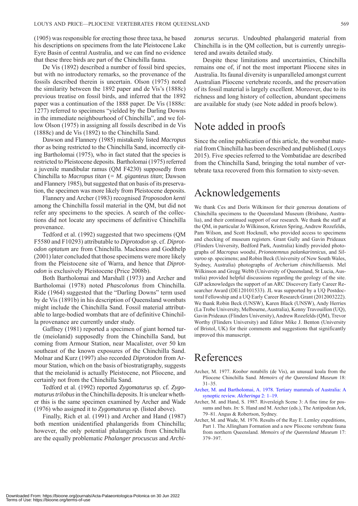(1905) was responsible for erecting those three taxa, he based his descriptions on specimens from the late Pleistocene Lake Eyre Basin of central Australia, and we can find no evidence that these three birds are part of the Chinchilla fauna.

De Vis (1892) described a number of fossil bird species, but with no introductory remarks, so the provenance of the fossils described therein is uncertain. Olson (1975) noted the similarity between the 1892 paper and de Vis's (1888c) previous treatise on fossil birds, and inferred that the 1892 paper was a continuation of the 1888 paper. De Vis (1888c: 1277) referred to specimens "yielded by the Darling Downs in the immediate neighbourhood of Chinchilla", and we follow Olson (1975) in assigning all fossils described in de Vis (1888c) and de Vis (1892) to the Chinchilla Sand.

Dawson and Flannery (1985) mistakenly listed *Macropus thor* as being restricted to the Chinchilla Sand, incorrectly citing Bartholomai (1975), who in fact stated that the species is restricted to Pleistocene deposits. Bartholomai (1975) referred a juvenile mandibular ramus (QM F4230) supposedly from Chinchilla to *Macropus titan* (*= M. giganteus titan*; Dawson and Flannery 1985)*,* but suggested that on basis of its preservation, the specimen was more likely from Pleistocene deposits.

Flannery and Archer (1983) recognised *Troposodon kenti* among the Chinchilla fossil material in the QM, but did not refer any specimens to the species. A search of the collections did not locate any specimens of definitive Chinchilla provenance.

Tedford et al. (1992) suggested that two specimens (QM F5580 and F10293) attributable to *Diprotodon* sp. cf. *Diprotodon optatum* are from Chinchilla. Mackness and Godthelp (2001) later concluded that those specimens were more likely from the Pleistocene site of Warra, and hence that *Diprotodon* is exclusively Pleistocene (Price 2008b).

Both Bartholomai and Marshall (1973) and Archer and Bartholomai (1978) noted *Phascolonus* from Chinchilla. Ride (1964) suggested that the "Darling Downs" term used by de Vis (1891b) in his description of Queensland wombats might include the Chinchilla Sand. Fossil material attributable to large-bodied wombats that are of definitive Chinchilla provenance are currently under study.

Gaffney (1981) reported a specimen of giant horned turtle (meiolanid) supposedly from the Chinchilla Sand, but coming from Armour Station, near Macalister, over 50 km southeast of the known exposures of the Chinchilla Sand. Molnar and Kurz (1997) also recorded *Diprotodon* from Armour Station, which on the basis of biostratigraphy, suggests that the meiolanid is actually Pleistocene, not Pliocene, and certainly not from the Chinchilla Sand.

Tedford et al. (1992) reported *Zygomaturus* sp. cf. *Zygomaturus trilobus* in the Chinchilla deposits. It is unclear whether this is the same specimen examined by Archer and Wade (1976) who assigned it to *Zygomaturus* sp. (listed above).

Finally, Rich et al. (1991) and Archer and Hand (1987) both mention unidentified phalangerids from Chinchilla; however, the only potential phalangerids from Chinchilla are the equally problematic *Phalanger procuscus* and *Archi-* *zonurus securus*. Undoubted phalangerid material from Chinchilla is in the QM collection, but is currently unregistered and awaits detailed study.

Despite these limitations and uncertainties, Chinchilla remains one of, if not the most important Pliocene sites in Australia. Its faunal diversity is unparalleled amongst current Australian Pliocene vertebrate records, and the preservation of its fossil material is largely excellent. Moreover, due to its richness and long history of collection, abundant specimens are available for study (see Note added in proofs below).

## Note added in proofs

Since the online publication of this article, the wombat material from Chinchilla has been described and published (Louys 2015). Five species referred to the Vombatidae are described from the Chinchilla Sand, bringing the total number of vertebrate taxa recovered from this formation to sixty-seven.

## Acknowledgements

We thank Ces and Doris Wilkinson for their generous donations of Chinchilla specimens to the Queensland Museum (Brisbane, Australia), and their continued support of our research. We thank the staff at the QM, in particular Jo Wilkinson, Kristen Spring, Andrew Rozefelds, Pam Wilson, and Scott Hocknull, who provided access to specimens and checking of museum registers. Grant Gully and Gavin Prideaux (Flinders University, Bedford Park, Australia) kindly provided photographs of *Macropus woodsi*, *Prionotemnus palankarinnicus*, and *Silvaroo* sp. specimens; and Robin Beck (University of New South Wales, Sydney, Australia) photographs of *Archerium chinchillaensis*. Mel Wilkinson and Gregg Webb (University of Queensland, St Lucia, Australia) provided helpful discussions regarding the geology of the site. GJP acknowledges the support of an ARC Discovery Early Career Researcher Award (DE120101533). JL was supported by a UQ Postdoctoral Fellowship and a UQ Early Career Research Grant (2012003222). We thank Robin Beck (UNSW), Karen Black (UNSW), Andy Herries (La Trobe University, Melbourne, Australia), Kenny Travouillon (UQ), Gavin Prideaux (Flinders University), Andrew Rozefelds (QM), Trevor Worthy (Flinders University) and Editor Mike J. Benton (University of Bristol, UK) for their comments and suggestions that significantly improved this manuscript.

## References

- Archer, M. 1977. *Koobor notabilis* (de Vis), an unusual koala from the Pliocene Chinchilla Sand. *Memoirs of the Queensland Museum* 18: 31–35.
- [Archer, M. and Bartholomai, A. 1978. Tertiary mammals of Australia: A](http://dx.doi.org/10.1080/03115517808619074)  synoptic review. *Alcheringa* 2: 1–19.
- Archer, M. and Hand, S. 1987. Riversleigh Scene 3: A fine time for possums and bats. *In:* S. Hand and M. Archer (eds.), The Antipodean Ark, 79–81. Angus & Robertson, Sydney.
- Archer, M. and Wade, M. 1976. Results of the Ray E. Lemley expeditions, Part 1. The Allingham Formation and a new Pliocene vertebrate fauna from northern Queensland. *Memoirs of the Queensland Museum* 17: 379–397.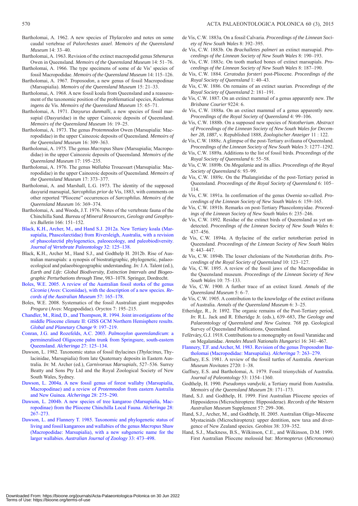- Bartholomai, A. 1962. A new species of *Thylacoleo* and notes on some caudal vertebrae of *Palorchestes azael*. *Memoirs of the Queensland Museum* 14: 33–40.
- Bartholomai, A. 1963. Revision of the extinct macropodid genus *Sthenurus*  Owen in Queensland. *Memoirs of the Queensland Museum* 14: 51–76.
- Bartholomai, A. 1966. The type specimens of some of de Vis' species of fossil Macropodidae. *Memoirs of the Queensland Museum* 14: 115–126.
- Bartholomai, A. 1967. *Troposodon*, a new genus of fossil Macropodinae (Marsupialia). *Memoirs of the Queensland Museum* 15: 21–33.
- Bartholomai, A. 1968. A new fossil koala from Queensland and a reassessment of the taxonomic position of the problematical species, *Koalemus ingens* de Vis. *Memoirs of the Queensland Museum* 15: 65–71.
- Bartholomai, A. 1971. *Dasyurus dunmalli*, a new species of fossil marsupial (Dasyuridae) in the upper Cainozoic deposits of Queensland. *Memoirs of the Queensland Museum* 16: 19–25.
- Bartholomai, A. 1973. The genus *Protemnodon* Owen (Marsupialia: Macropodidae) in the upper Cainozoic deposits of Queensland. *Memoirs of the Queensland Museum* 16: 309–363.
- Bartholomai, A. 1975. The genus *Macropus* Shaw (Marsupialia; Macropodidae) in the upper Cainozoic deposits of Queensland. *Memoirs of the Queensland Museum* 17: 195–235.
- Bartholomai, A. 1976. The genus *Wallabia* Trouessart (Marsupialia: Macropodidae) in the upper Cainozoic deposits of Queensland. *Memoirs of the Queensland Museum* 17: 373–377.
- Bartholomai, A. and Marshall, L.G. 1973. The identity of the supposed dasyurid marsupial, *Sarcophilus prior* de Vis, 1883, with comments on other reported "Pliocene" occurrences of *Sarcophilus. Memoirs of the Queensland Museum* 16: 369–374.
- Bartholomai, A. and Woods, J.T. 1976. Notes of the vertebrate fauna of the Chinchilla Sand. *Bureau of Mineral Resources, Geology and Geophysics Bulletin* 166: 151–152.
- [Black, K.H., Archer, M., and Hand S.J. 2012a. New Tertiary koala \(Mar](http://dx.doi.org/10.1080/02724634.2012.626825)supialia, Phascolarctidae) from Riversleigh, Australia, with a revision of phascolarctid phylogenetics, paleoecology, and paleobiodiversity. *Journal of Vertebrate Paleontology* 32: 125–138.
- Black, K.H., Archer M., Hand S.J., and Godthelp H. 2012b. Rise of Australian marsupials: a synopsis of biostratigraphic, phylogenetic, palaeoecological and palaeobiogeographic understanding. *In:* J.A. Talent (ed.), *Earth and Life: Global Biodiversity, Extinction Intervals and Biogeographic Perturbations through Time*, 983–1078. Springer, Dordrecht.
- [Boles, W.E. 2005. A review of the Australian fossil storks of the genus](http://dx.doi.org/10.3853/j.0067-1975.57.2005.1440)  *Ciconia* (Aves: Ciconiidae), with the description of a new species. *Records of the Australian Museum* 57: 165–178.
- Boles, W.E. 2008. Systematics of the fossil Australian giant megapodes *Progura* (Aves: Megapodidae). *Oryctos* 7: 195–215.
- [Chandler, M., Rind, D., and Thompson, R. 1994. Joint investigations of the](http://dx.doi.org/10.1016/0921-8181%2894%2990016-7)  middle Pliocene climate II: GISS GCM Northern Hemisphere results. *Global and Planetary Change* 9: 197–219.
- Conran, J.G. and Rozefelds, A.C. 2003. *Palmoxylon queenslandicum*: a [permineralised Oligocene palm trunk from Springsure, south-eastern](http://dx.doi.org/10.1080/03115510308619553)  Queensland. *Alcheringa* 27: 125–134.
- Dawson, L. 1982. Taxonomic status of fossil thylacines (*Thylacinus*, Thylacinidae, Marsupialia) from late Quaternary deposits in Eastern Australia. *In*: M. Archer (ed.), *Carnivorous Marsupials*, 527–536. Surrey Beatty and Sons Pty Ltd and the Royal Zoological Society of New South Wales, Sydney.
- [Dawson, L. 2004a. A new fossil genus of forest wallaby \(Marsupialia,](http://dx.doi.org/10.1080/03115510408619285)  Macropodinae) and a review of *Protemnodon* from eastern Australia and New Guinea. *Alcheringa* 28: 275–290.
- [Dawson, L. 2004b. A new species of tree kangaroo \(Marsupialia, Mac](http://dx.doi.org/10.1080/03115510408619284)ropodinae) from the Pliocene Chinchilla Local Fauna. *Alcheringa* 28: 267–273.
- [Dawson, L. and Flannery T. 1985. Taxonomic and phylogenetic status of](http://dx.doi.org/10.1071/ZO9850473)  living and fossil kangaroos and wallabies of the genus *Macropus* Shaw (Macropodidae: Marsupialia), with a new subgeneric name for the larger wallabies. *Australian Journal of Zoology* 33: 473–498.
- de Vis, C.W. 1883a*.* On a fossil Calvaria. *Proceedings of the Linnean Society of New South Wales* 8: 392–395.
- de Vis, C.W. 1883b. On *Brachalletes palmeri* an extinct marsupial. *Proceedings of the Linnean Society of New South Wales* 8: 190–193.
- de Vis, C.W. 1883c. On tooth marked bones of extinct marsupials. *Proceedings of the Linnean Society of New South Wales* 8: 187–190.
- de Vis, C.W. 1884. *Ceratodus forsteri* post-Pliocene. *Proceedings of the Royal Society of Queensland* 1: 40–43.
- de Vis, C.W. 1886. On remains of an extinct saurian. *Proceedings of the Royal Society of Queensland* 2: 181–191.
- de Vis, C.W. 1887. On an extinct mammal of a genus apparently new. *The Brisbane Courier* 9224: 6.
- de Vis, C.W. 1888a. On an extinct mammal of a genus apparently new. *Proceedings of the Royal Society of Queensland* 4: 99–106.
- de Vis, C.W. 1888b. On a supposed new species of *Nototherium*. *Abstract of Proceedings of the Linnean Society of New South Wales for December 28, 1887*, v. Republished 1888, *Zoologischer Anzeiger* 11 : 122.
- de Vis, C.W. 1888c. A glimpse of the post-Tertiary avifauna of Queensland. *Proceedings of the Linnean Society of New South Wales* 3: 1277–1292.
- de Vis, C.W. 1889a. Additions to the list of fossil birds. *Proceedings of the Royal Society of Queensland* 6: 55–58.
- de Vis, C.W. 1889b. On *Megalania* and its allies. *Proceedings of the Royal Society of Queensland* 6: 93–99.
- de Vis, C.W. 1889c. On the Phalangistidae of the post-Tertiary period in Queensland. *Proceedings of the Royal Society of Queensland* 6: 105– 114.
- de Vis, C.W. 1891a. In confirmation of the genus *Owenia* so-called. *Proceedings of the Linnean Society of New South Wales* 6: 159–165.
- de Vis, C.W. 1891b*.* Remarks on post-Tertiary Phascolomyidae. *Proceedings of the Linnean Society of New South Wales* 6: 235–246.
- de Vis, C.W. 1892. Residue of the extinct birds of Queensland as yet undetected. *Proceedings of the Linnean Society of New South Wales* 6: 437–456.
- de Vis, C.W. 1894a. A thylacine of the earlier nototherian period in Queensland. *Proceedings of the Linnean Society of New South Wales* 8: 443–447.
- de Vis, C.W. 1894b. The lesser chelonians of the Nototherian drifts. *Proceedings of the Royal Society of Queensland* 10: 123–127.
- de Vis, C.W. 1895. A review of the fossil jaws of the Macropodidae in the Queensland museum. *Proceedings of the Linnean Society of New South Wales* 10: 75–133.
- de Vis, C.W. 1900. A further trace of an extinct lizard. *Annals of the Queensland Museum* 5: 6–7.
- de Vis, C.W. 1905. A contribution to the knowledge of the extinct avifauna of Australia. *Annals of the Queensland Museum* 6: 3–25.
- Etheridge, R., Jr. 1892. The organic remains of the Post-Tertiary period, *In*: R.L. Jack and R. Etheridge Jr. (eds.), 639–683, *The Geology and Palaeontology of Queensland and New Guinea*. 768 pp*.* Geological Survey of Queensland Publications, Queensland.
- Feférváry, G.J. 1918. Contributions to a monography on fossil Varanidae and on Megalanidae. *Annales Museli Nationalis Hungarici* 16: 341–467.
- [Flannery, T.F. and Archer, M. 1983. Revision of the genus](http://dx.doi.org/10.1080/03115518308619612) *Troposodon* Bartholomai (Macropodidae: Marsupialia). *Alcheringa* 7: 263–279.
- Gaffney, E.S. 1981. A review of the fossil turtles of Australia. *American Museum Novitates* 2720: 1–38.
- Gaffney, E.S. and Bartholomai, A. 1979. Fossil trionychids of Australia. *Journal of Paleontology* 53: 1354–1360.
- Godthelp, H. 1990. *Pseudomys vandycki*, a Tertiary murid from Australia. *Memoirs of the Queensland Museum* 28: 171–173.
- Hand, S.J. and Godthelp, H. 1999. First Australian Pliocene species of Hipposideros (Microchiroptera: Hipposiderae). *Records of the Western Australian Museum* Supplement 57: 299–306.
- Hand, S.J., Archer, M., and Godthelp, H. 2005. Australian Oligo-Miocene Mystacinids (Microchiroptera): upper dentition, new taxa and divergence of New Zealand species. *Geobios* 38: 339–352.
- Hand, S.J., Mackness, B.S., Wilkinson, C.E., and Wilkinson, D.M. 1999. First Australian Pliocene molossid bat: *Mormopterus* (*Micronomus*)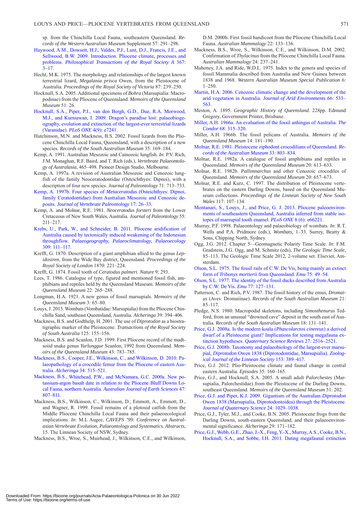sp. from the Chinchilla Local Fauna, southeastern Queensland. *Records of the Western Australian Museum* Supplement 57: 291–298.

- [Haywood, A.M., Dowsett, H.J., Valdes, P.J., Lunt, D.J., Francis, J.E., and](http://dx.doi.org/10.1098/rsta.2008.0205)  Sellwood, B.W. 2009. Introduction. Pliocene climate, processes and problems. *Philosophical Transactions of the Royal Society A* 367:  $3 - 17$ .
- Hecht, M.K. 1975. The morphology and relationships of the largest known terrestrial lizard, *Megalania prisca* Owen, from the Pleistocene of Australia. *Proceedings of the Royal Society of Victoria* 87: 239–250.
- Hocknull, S.A. 2005. Additional specimens of *Bohra* (Marsupialia: Macropodinae) from the Pliocene of Queensland. *Memoirs of the Queensland Museum* 51: 26.
- [Hocknull, S.A., Piper, P.J., van den Bergh, G.D., Due, R.A. Morwood,](http://dx.doi.org/10.1371/journal.pone.0007241)  M.J., and Kurniawan, I. 2009. Dragon's paradise lost: palaeobiogeography, evolution and extinction of the largest-ever terrestrial lizards (Varanidae). *PLoS ONE* 4(9): e7241.
- Hutchinson, M.N. and Mackness, B.S. 2002. Fossil lizards from the Pliocene Chinchilla Local Fauna, Queensland, with a description of a new species. *Records of the South Australian Museum* 35: 169–184.
- Kemp, A. 1991. Australian Mesozoic and Cainozoic lungfish. *In*: P.V. Rich, J.M. Monaghan, R.F. Baird, and T. Rich (eds.), *Vertebrate Palaeontology of Australasia*, 465–498. Pioneer Design Studio, Melbourne.
- Kemp, A. 1997a. A revision of Australian Mesozoic and Cenozoic lungfish of the family Neoceratodontidae (Osteichthyes: Dipnoi), with a description of four new species. *Journal of Paleontology* 71: 713–733.
- Kemp, A. 1997b. Four species of *Metaceratodus* (Osteichthyes: Dipnoi, [family Ceratodontidae\) from Australian Mesozoic and Cenozoic de](http://dx.doi.org/10.1080/02724634.1997.10010949)posits. *Journal of Vertebrate Paleontology* 17: 26–33.
- Kemp, A. and Molnar, R.E. 1981. *Neoceratodus forsteri* from the Lower Cretaceous of New South Wales, Australia. *Journal of Paleontology* 55: 211–217.
- [Krebs, U., Park, W., and Schneider, B. 2011. Pliocene aridification of](http://dx.doi.org/10.1016/j.palaeo.2011.06.002)  Australia caused by tectonically induced weakening of the Indonesian throughflow. *Palaeogeography, Palaeoclimatology, Palaeoecology*  309: 111–117.
- Krefft, G. 1870. Description of a giant amphibian allied to the genus *Lepidosiren*, from the Wide Bay district, Queensland. *Proceedings of the Royal Society of London* 1870: 221–224.
- Krefft, G. 1874. Fossil tooth of *Ceratodus palmeri*. *Nature* 9: 293.
- Lees, T. 1986. Catalogue of type, figured and mentioned fossil fish, amphibians and reptiles held by the Queensland Museum. *Memoirs of the Queensland Museum* 22: 265–288.
- Longman, H.A. 1921. A new genus of fossil marsupials. *Memoirs of the Queensland Museum* 3: 65–80.
- Louys, J. 2015. Wombats (Vombatidae: Marsupialia) from the Pliocene Chinchilla Sand, southeast Queensland, Australia. *Alcheringa* 39: 394–406.
- Mackness, B.S. and Godthelp, H. 2001. The use of *Diprotodon* as a biostratigraphic marker of the Pleistocene. *Transactions of the Royal Society of South Australia* 125: 155–156.
- Mackness, B.S. and Scanlon, J.D. 1999. First Pliocene record of the madtsoiid snake genus *Yurlunggur* Scanlon, 1992 from Queensland. *Memoirs of the Queensland Museum* 43: 783–785.
- [Mackness, B.S., Cooper, J.E., Wilkinson, C., and Wilkinson, D. 2010. Pa](http://dx.doi.org/10.1080/03115511003793512)laeopathology of a crocodile femur from the Pliocene of eastern Australia. *Alcheringa* 34: 515–521.
- [Mackness, B.S., Whitehead, P.W., and McNamara, G.C. 2000a. New po](http://dx.doi.org/10.1046/j.1440-0952.2000.00812.x)tassium-argon basalt date in relation to the Pliocene Bluff Downs Local Fauna, northern Australia. *Australian Journal of Earth Sciences* 47: 807–811.
- Mackness, B.S., Wilkinson, C., Wilkinson, D., Emmott, A., Emmott, D., and Wagner, R. 1999. Fossil remains of a plotosid catfish from the Middle Pliocene Chinchilla Local Fauna and their palaeoecological implications. *In*: M.L Augee, *CAVEPS '99: Conference on Australasian Vertebrate Evolution, Palaeontology and Systematics. Abstracts*, 15. The Linnean Society of NSW, Sydney.
- Mackness, B.S., Wroe, S., Muirhead, J., Wilkinson, C.E., and Wilkinson,

D.M. 2000b. First fossil bandicoot from the Pliocene Chinchilla Local Fauna. *Australian Mammalogy* 22: 133–136.

- Mackness, B.S., Wroe, S., Wilkinson, C.E., and Wilkinson, D.M. 2002. Confirmation of *Thylacinus* from the Pliocene Chinchilla Local Fauna. *Australian Mammalogy* 24: 237–241.
- Mahoney, J.A. and Ride, W.D.L. 1975. Index to the genera and species of fossil Mammalia described from Australia and New Guinea between 1838 and 1968. *Western Australian Museum Special Publication* 6: 1–250.
- [Martin, H.A. 2006. Cenozoic climatic change and the development of the](http://dx.doi.org/10.1016/j.jaridenv.2006.01.009) arid vegetation in Australia. *Journal of Arid Environments* 66: 533– 563.
- Meston, A. 1895. *Geographic History of Queensland*. 228pp. Edmund Gregory, Government Printer, Brisbane.
- [Miller, A.H. 1966a. An evaluation of the fossil anhingas of Australia.](http://dx.doi.org/10.2307/1365447) *The Condor* 68: 315–320.
- Miller, A.H. 1966b. The fossil pelicans of Australia. *Memoirs of the Queensland Museum* 14: 181–190.
- [Molnar, R.E. 1981. Pleistocene ziphodont crocodilians of Queensland.](http://dx.doi.org/10.3853/j.0067-1975.33.1981.198) *Records of the Australian Museum* 33: 803–834.
- Molnar, R.E. 1982a. A catalogue of fossil amphibians and reptiles in Queensland. *Memoirs of the Queensland Museum* 20: 613–633.
- Molnar, R.E. 1982b. *Pallimnarchus* and other Cenozoic crocodiles of Queensland. *Memoirs of the Queensland Museum* 20: 657–673.
- Molnar, R.E. and Kurz, C. 1997. The distribution of Pleistocene vertebrates on the eastern Darling Downs, based on the Queensland Museum collections. *Proceedings of the Linnean Society of New South Wales* 117: 107–134.
- [Montanari, S., Louys, J., and Price, G. J. 2013. Pliocene paleoenviron](http://dx.doi.org/10.1371/journal.pone.0066221)ments of southeastern Queensland, Australia inferred from stable isotopes of marsupial tooth enamel. *PLoS ONE* 8 (6): e66221.
- Murray, P.F. 1998. Palaeontology and palaeobiology of wombats. *In*: R.T. Wells and P.A. Pridmore (eds.), *Wombats,* 1–33. Surrey, Beatty & Sons, Chipping North, Sydney.
- Ogg, J.G. 2012. Chapter 5—Geomagnetic Polarity Time Scale. *In*: F.M. Gradstein, J.G. Ogg, and M. Schmitz (eds), *The Geologic Time Scale,*  85–113. The Geologic Time Scale 2012, 2-volume set. Elsevier, Amsterdam.
- [Olson, S.L. 1975. The fossil rails of C.W. De Vis, being mainly an extinct](http://dx.doi.org/10.1071/MU9750049) form of *Tribonyx mortierii* from Queensland. *Emu* 75: 49–54.
- [Olson, S.L. 1977. The identity of the fossil ducks described from Australia](http://dx.doi.org/10.1071/MU9770127) by C.W. De Vis. *Emu* 77: 127–131.
- Patterson, C. and Rich, P.V. 1987. The fossil history of the emus, *Dromaius* (Aves: Dromaiinae). *Records of the South Australian Museum* 21: 85–117.
- Pledge, N.S. 1980. Macropodid skeletons, including *Simosthenurus* Tedford, from an unusual "drowned cave" deposit in the south east of Australia. *Records of the South Australian Museum* 18: 131–141.
- Price, G.J. 2008a. Is the modern koala (*Phascolarctos cinereus*) a derived [dwarf of a Pleistocene giant? Implications for testing megafauna ex](http://dx.doi.org/10.1016/j.quascirev.2008.08.026)tinction hypotheses. *Quaternary Science Reviews* 27: 2516–2521.
- [Price, G.J. 2008b. Taxonomy and palaeobiology of the largest-ever marsu](http://dx.doi.org/10.1111/j.1096-3642.2008.00387.x)pial, *Diprotodon* Owen 1838 (Diprotodontidae, Marsupialia). *Zoological Journal of the Linnean Society* 153: 389–417.
- Price, G.J. 2012. Plio-Pleistocene climate and faunal change in central eastern Australia. *Episodes* 35: 160–165.
- Price, G.J., and Hocknull, S.A. 2005. A small adult *Palorchestes* (Marsupialia, Palorchestidae) from the Pleistocene of the Darling Downs, southeast Queensland. *Memoirs of the Queensland Museum* 51: 202.
- Price, G.J. and Piper, K.J. 2009. Gigantism of the Australian *Diprotodon* [Owen 1838 \(Marsupialia, Diprotodontoidea\) through the Pleistocene.](http://dx.doi.org/10.1002/jqs.1285) *Journal of Quaternary Science* 24: 1029–1038.
- Price, G.J., Tyler, M.J., and Cooke, B.N. 2005. Pleistocene frogs from the Darling Downs, south-eastern Queensland, and their palaeoenvironmental significance. *Alcheringa* 29: 171–182.
- [Price, G.J., Webb, G.E., Zhao, J.-X., Feng, Y.-X., Murray, A.S., Cooke, B.N.,](http://dx.doi.org/10.1016/j.quascirev.2011.01.011) Hocknull, S.A., and Sobbe, I.H. 2011. Dating megafaunal extinction